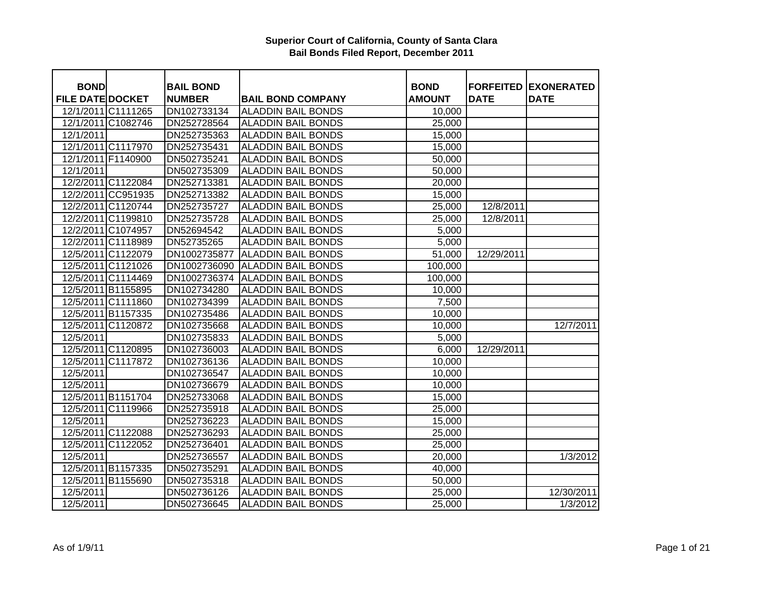| <b>BOND</b>             |                    | <b>BAIL BOND</b> |                           | <b>BOND</b>         | <b>FORFEITED</b> | <b>EXONERATED</b>     |
|-------------------------|--------------------|------------------|---------------------------|---------------------|------------------|-----------------------|
| <b>FILE DATE DOCKET</b> |                    | <b>NUMBER</b>    | <b>BAIL BOND COMPANY</b>  | <b>AMOUNT</b>       | <b>DATE</b>      | <b>DATE</b>           |
|                         | 12/1/2011 C1111265 | DN102733134      | <b>ALADDIN BAIL BONDS</b> | 10,000              |                  |                       |
|                         | 12/1/2011 C1082746 | DN252728564      | <b>ALADDIN BAIL BONDS</b> | $\overline{2}5,000$ |                  |                       |
| 12/1/2011               |                    | DN252735363      | <b>ALADDIN BAIL BONDS</b> | 15,000              |                  |                       |
|                         | 12/1/2011 C1117970 | DN252735431      | <b>ALADDIN BAIL BONDS</b> | 15,000              |                  |                       |
|                         | 12/1/2011 F1140900 | DN502735241      | <b>ALADDIN BAIL BONDS</b> | 50,000              |                  |                       |
| 12/1/2011               |                    | DN502735309      | <b>ALADDIN BAIL BONDS</b> | 50,000              |                  |                       |
|                         | 12/2/2011 C1122084 | DN252713381      | <b>ALADDIN BAIL BONDS</b> | 20,000              |                  |                       |
|                         | 12/2/2011 CC951935 | DN252713382      | <b>ALADDIN BAIL BONDS</b> | 15,000              |                  |                       |
|                         | 12/2/2011 C1120744 | DN252735727      | <b>ALADDIN BAIL BONDS</b> | 25,000              | 12/8/2011        |                       |
|                         | 12/2/2011 C1199810 | DN252735728      | <b>ALADDIN BAIL BONDS</b> | 25,000              | 12/8/2011        |                       |
|                         | 12/2/2011 C1074957 | DN52694542       | <b>ALADDIN BAIL BONDS</b> | 5,000               |                  |                       |
|                         | 12/2/2011 C1118989 | DN52735265       | <b>ALADDIN BAIL BONDS</b> | 5,000               |                  |                       |
|                         | 12/5/2011 C1122079 | DN1002735877     | <b>ALADDIN BAIL BONDS</b> | 51,000              | 12/29/2011       |                       |
|                         | 12/5/2011 C1121026 | DN1002736090     | <b>ALADDIN BAIL BONDS</b> | 100,000             |                  |                       |
|                         | 12/5/2011 C1114469 | DN1002736374     | <b>ALADDIN BAIL BONDS</b> | 100,000             |                  |                       |
|                         | 12/5/2011 B1155895 | DN102734280      | <b>ALADDIN BAIL BONDS</b> | 10,000              |                  |                       |
|                         | 12/5/2011 C1111860 | DN102734399      | <b>ALADDIN BAIL BONDS</b> | 7,500               |                  |                       |
|                         | 12/5/2011 B1157335 | DN102735486      | <b>ALADDIN BAIL BONDS</b> | 10,000              |                  |                       |
|                         | 12/5/2011 C1120872 | DN102735668      | <b>ALADDIN BAIL BONDS</b> | 10,000              |                  | 12/7/2011             |
| 12/5/2011               |                    | DN102735833      | <b>ALADDIN BAIL BONDS</b> | 5,000               |                  |                       |
|                         | 12/5/2011 C1120895 | DN102736003      | <b>ALADDIN BAIL BONDS</b> | 6,000               | 12/29/2011       |                       |
|                         | 12/5/2011 C1117872 | DN102736136      | <b>ALADDIN BAIL BONDS</b> | 10,000              |                  |                       |
| 12/5/2011               |                    | DN102736547      | <b>ALADDIN BAIL BONDS</b> | 10,000              |                  |                       |
| 12/5/2011               |                    | DN102736679      | <b>ALADDIN BAIL BONDS</b> | 10,000              |                  |                       |
|                         | 12/5/2011 B1151704 | DN252733068      | <b>ALADDIN BAIL BONDS</b> | 15,000              |                  |                       |
|                         | 12/5/2011 C1119966 | DN252735918      | <b>ALADDIN BAIL BONDS</b> | 25,000              |                  |                       |
| 12/5/2011               |                    | DN252736223      | <b>ALADDIN BAIL BONDS</b> | 15,000              |                  |                       |
|                         | 12/5/2011 C1122088 | DN252736293      | <b>ALADDIN BAIL BONDS</b> | 25,000              |                  |                       |
|                         | 12/5/2011 C1122052 | DN252736401      | <b>ALADDIN BAIL BONDS</b> | 25,000              |                  |                       |
| 12/5/2011               |                    | DN252736557      | <b>ALADDIN BAIL BONDS</b> | 20,000              |                  | 1/3/2012              |
|                         | 12/5/2011 B1157335 | DN502735291      | <b>ALADDIN BAIL BONDS</b> | 40,000              |                  |                       |
|                         | 12/5/2011 B1155690 | DN502735318      | <b>ALADDIN BAIL BONDS</b> | 50,000              |                  |                       |
| 12/5/2011               |                    | DN502736126      | <b>ALADDIN BAIL BONDS</b> | 25,000              |                  | 12/30/2011            |
| 12/5/2011               |                    | DN502736645      | <b>ALADDIN BAIL BONDS</b> | 25,000              |                  | $\overline{1/3}/2012$ |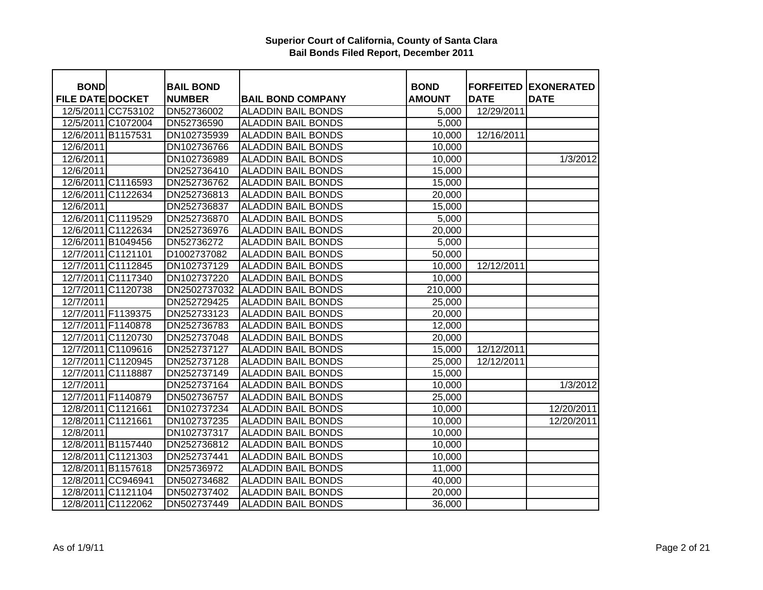| <b>BOND</b>                       |                    | <b>BAIL BOND</b> |                           | <b>BOND</b>   |             | <b>FORFEITED EXONERATED</b> |
|-----------------------------------|--------------------|------------------|---------------------------|---------------|-------------|-----------------------------|
| <b>FILE DATE DOCKET</b>           |                    | <b>NUMBER</b>    | <b>BAIL BOND COMPANY</b>  | <b>AMOUNT</b> | <b>DATE</b> | <b>DATE</b>                 |
|                                   | 12/5/2011 CC753102 | DN52736002       | <b>ALADDIN BAIL BONDS</b> | 5,000         | 12/29/2011  |                             |
|                                   | 12/5/2011 C1072004 | DN52736590       | <b>ALADDIN BAIL BONDS</b> | 5,000         |             |                             |
| 12/6/2011 B1157531                |                    | DN102735939      | <b>ALADDIN BAIL BONDS</b> | 10,000        | 12/16/2011  |                             |
| 12/6/2011                         |                    | DN102736766      | <b>ALADDIN BAIL BONDS</b> | 10,000        |             |                             |
| 12/6/2011                         |                    | DN102736989      | <b>ALADDIN BAIL BONDS</b> | 10,000        |             | 1/3/2012                    |
| $\overline{12}/\overline{6}/2011$ |                    | DN252736410      | <b>ALADDIN BAIL BONDS</b> | 15,000        |             |                             |
|                                   | 12/6/2011 C1116593 | DN252736762      | <b>ALADDIN BAIL BONDS</b> | 15,000        |             |                             |
|                                   | 12/6/2011 C1122634 | DN252736813      | <b>ALADDIN BAIL BONDS</b> | 20,000        |             |                             |
| 12/6/2011                         |                    | DN252736837      | <b>ALADDIN BAIL BONDS</b> | 15,000        |             |                             |
|                                   | 12/6/2011 C1119529 | DN252736870      | <b>ALADDIN BAIL BONDS</b> | 5,000         |             |                             |
|                                   | 12/6/2011 C1122634 | DN252736976      | <b>ALADDIN BAIL BONDS</b> | 20,000        |             |                             |
|                                   | 12/6/2011 B1049456 | DN52736272       | <b>ALADDIN BAIL BONDS</b> | 5,000         |             |                             |
| 12/7/2011 C1121101                |                    | D1002737082      | <b>ALADDIN BAIL BONDS</b> | 50,000        |             |                             |
|                                   | 12/7/2011 C1112845 | DN102737129      | <b>ALADDIN BAIL BONDS</b> | 10,000        | 12/12/2011  |                             |
|                                   | 12/7/2011 C1117340 | DN102737220      | <b>ALADDIN BAIL BONDS</b> | 10,000        |             |                             |
|                                   | 12/7/2011 C1120738 | DN2502737032     | <b>ALADDIN BAIL BONDS</b> | 210,000       |             |                             |
| 12/7/2011                         |                    | DN252729425      | <b>ALADDIN BAIL BONDS</b> | 25,000        |             |                             |
|                                   | 12/7/2011 F1139375 | DN252733123      | <b>ALADDIN BAIL BONDS</b> | 20,000        |             |                             |
|                                   | 12/7/2011 F1140878 | DN252736783      | <b>ALADDIN BAIL BONDS</b> | 12,000        |             |                             |
|                                   | 12/7/2011 C1120730 | DN252737048      | <b>ALADDIN BAIL BONDS</b> | 20,000        |             |                             |
|                                   | 12/7/2011 C1109616 | DN252737127      | <b>ALADDIN BAIL BONDS</b> | 15,000        | 12/12/2011  |                             |
|                                   | 12/7/2011 C1120945 | DN252737128      | <b>ALADDIN BAIL BONDS</b> | 25,000        | 12/12/2011  |                             |
|                                   | 12/7/2011 C1118887 | DN252737149      | <b>ALADDIN BAIL BONDS</b> | 15,000        |             |                             |
| 12/7/2011                         |                    | DN252737164      | <b>ALADDIN BAIL BONDS</b> | 10,000        |             | 1/3/2012                    |
|                                   | 12/7/2011 F1140879 | DN502736757      | <b>ALADDIN BAIL BONDS</b> | 25,000        |             |                             |
|                                   | 12/8/2011 C1121661 | DN102737234      | <b>ALADDIN BAIL BONDS</b> | 10,000        |             | 12/20/2011                  |
| 12/8/2011 C1121661                |                    | DN102737235      | <b>ALADDIN BAIL BONDS</b> | 10,000        |             | 12/20/2011                  |
| 12/8/2011                         |                    | DN102737317      | <b>ALADDIN BAIL BONDS</b> | 10,000        |             |                             |
|                                   | 12/8/2011 B1157440 | DN252736812      | <b>ALADDIN BAIL BONDS</b> | 10,000        |             |                             |
|                                   | 12/8/2011 C1121303 | DN252737441      | <b>ALADDIN BAIL BONDS</b> | 10,000        |             |                             |
|                                   | 12/8/2011 B1157618 | DN25736972       | <b>ALADDIN BAIL BONDS</b> | 11,000        |             |                             |
|                                   | 12/8/2011 CC946941 | DN502734682      | <b>ALADDIN BAIL BONDS</b> | 40,000        |             |                             |
|                                   | 12/8/2011 C1121104 | DN502737402      | <b>ALADDIN BAIL BONDS</b> | 20,000        |             |                             |
|                                   | 12/8/2011 C1122062 | DN502737449      | <b>ALADDIN BAIL BONDS</b> | 36,000        |             |                             |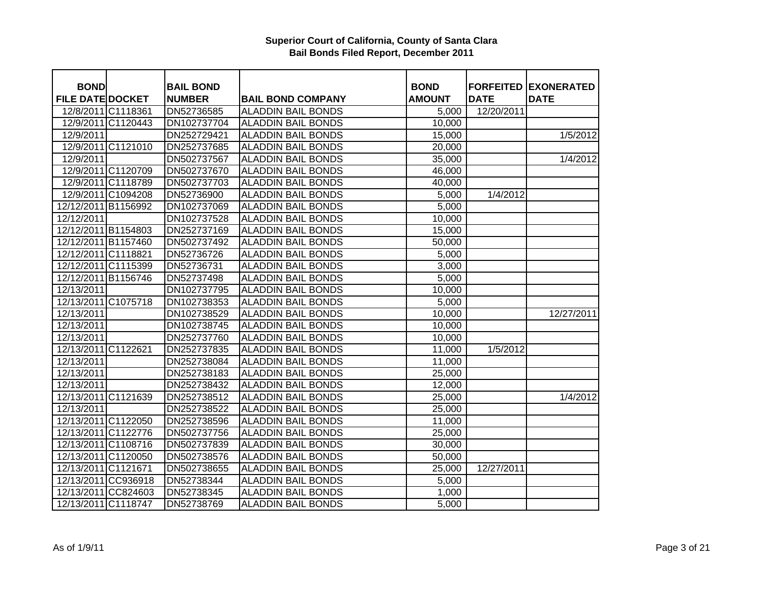| <b>BOND</b>             |                    | <b>BAIL BOND</b> |                           | <b>BOND</b>      |             | <b>FORFEITED EXONERATED</b> |
|-------------------------|--------------------|------------------|---------------------------|------------------|-------------|-----------------------------|
| <b>FILE DATE DOCKET</b> |                    | <b>NUMBER</b>    | <b>BAIL BOND COMPANY</b>  | <b>AMOUNT</b>    | <b>DATE</b> | <b>DATE</b>                 |
| 12/8/2011 C1118361      |                    | DN52736585       | <b>ALADDIN BAIL BONDS</b> |                  | 12/20/2011  |                             |
|                         | 12/9/2011 C1120443 | DN102737704      | <b>ALADDIN BAIL BONDS</b> | 5,000<br>10,000  |             |                             |
| 12/9/2011               |                    | DN252729421      | <b>ALADDIN BAIL BONDS</b> | 15,000           |             | 1/5/2012                    |
|                         | 12/9/2011 C1121010 | DN252737685      | <b>ALADDIN BAIL BONDS</b> | 20,000           |             |                             |
| 12/9/2011               |                    | DN502737567      | <b>ALADDIN BAIL BONDS</b> |                  |             | 1/4/2012                    |
|                         | 12/9/2011 C1120709 | DN502737670      | <b>ALADDIN BAIL BONDS</b> | 35,000<br>46,000 |             |                             |
|                         |                    |                  |                           |                  |             |                             |
|                         | 12/9/2011 C1118789 | DN502737703      | <b>ALADDIN BAIL BONDS</b> | 40,000           |             |                             |
|                         | 12/9/2011 C1094208 | DN52736900       | <b>ALADDIN BAIL BONDS</b> | 5,000            | 1/4/2012    |                             |
| 12/12/2011 B1156992     |                    | DN102737069      | <b>ALADDIN BAIL BONDS</b> | 5,000            |             |                             |
| 12/12/2011              |                    | DN102737528      | <b>ALADDIN BAIL BONDS</b> | 10,000           |             |                             |
| 12/12/2011 B1154803     |                    | DN252737169      | <b>ALADDIN BAIL BONDS</b> | 15,000           |             |                             |
| 12/12/2011 B1157460     |                    | DN502737492      | <b>ALADDIN BAIL BONDS</b> | 50,000           |             |                             |
| 12/12/2011 C1118821     |                    | DN52736726       | <b>ALADDIN BAIL BONDS</b> | 5,000            |             |                             |
| 12/12/2011 C1115399     |                    | DN52736731       | <b>ALADDIN BAIL BONDS</b> | 3,000            |             |                             |
| 12/12/2011 B1156746     |                    | DN52737498       | <b>ALADDIN BAIL BONDS</b> | 5,000            |             |                             |
| 12/13/2011              |                    | DN102737795      | <b>ALADDIN BAIL BONDS</b> | 10,000           |             |                             |
| 12/13/2011 C1075718     |                    | DN102738353      | <b>ALADDIN BAIL BONDS</b> | 5,000            |             |                             |
| 12/13/2011              |                    | DN102738529      | <b>ALADDIN BAIL BONDS</b> | 10,000           |             | 12/27/2011                  |
| 12/13/2011              |                    | DN102738745      | <b>ALADDIN BAIL BONDS</b> | 10,000           |             |                             |
| 12/13/2011              |                    | DN252737760      | <b>ALADDIN BAIL BONDS</b> | 10,000           |             |                             |
| 12/13/2011 C1122621     |                    | DN252737835      | <b>ALADDIN BAIL BONDS</b> | 11,000           | 1/5/2012    |                             |
| 12/13/2011              |                    | DN252738084      | <b>ALADDIN BAIL BONDS</b> | 11,000           |             |                             |
| 12/13/2011              |                    | DN252738183      | <b>ALADDIN BAIL BONDS</b> | 25,000           |             |                             |
| 12/13/2011              |                    | DN252738432      | <b>ALADDIN BAIL BONDS</b> | 12,000           |             |                             |
| 12/13/2011 C1121639     |                    | DN252738512      | <b>ALADDIN BAIL BONDS</b> | 25,000           |             | 1/4/2012                    |
| 12/13/2011              |                    | DN252738522      | <b>ALADDIN BAIL BONDS</b> | 25,000           |             |                             |
| 12/13/2011 C1122050     |                    | DN252738596      | <b>ALADDIN BAIL BONDS</b> | 11,000           |             |                             |
| 12/13/2011 C1122776     |                    | DN502737756      | <b>ALADDIN BAIL BONDS</b> | 25,000           |             |                             |
| 12/13/2011 C1108716     |                    | DN502737839      | <b>ALADDIN BAIL BONDS</b> | 30,000           |             |                             |
| 12/13/2011 C1120050     |                    | DN502738576      | <b>ALADDIN BAIL BONDS</b> | 50,000           |             |                             |
| 12/13/2011 C1121671     |                    | DN502738655      | <b>ALADDIN BAIL BONDS</b> | 25,000           | 12/27/2011  |                             |
| 12/13/2011 CC936918     |                    | DN52738344       | <b>ALADDIN BAIL BONDS</b> | 5,000            |             |                             |
| 12/13/2011 CC824603     |                    | DN52738345       | <b>ALADDIN BAIL BONDS</b> | 1,000            |             |                             |
| 12/13/2011 C1118747     |                    | DN52738769       | <b>ALADDIN BAIL BONDS</b> | 5,000            |             |                             |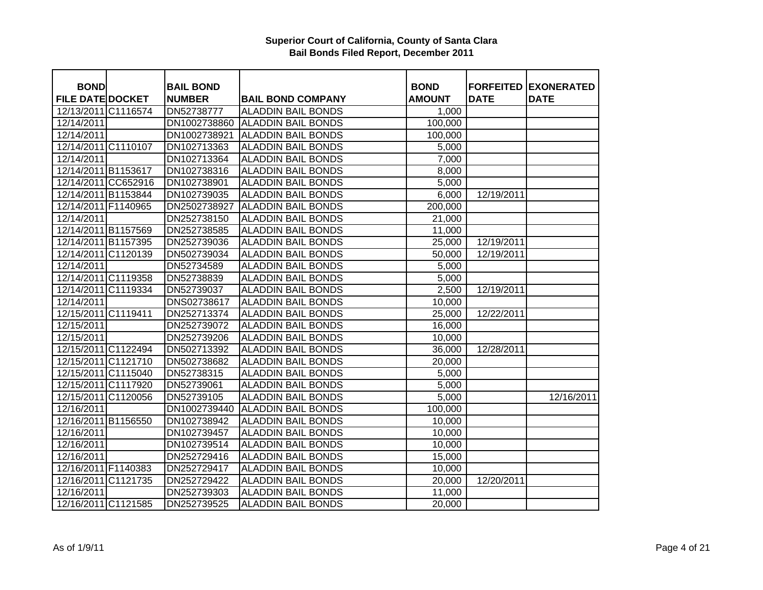| <b>BOND</b>             | <b>BAIL BOND</b> |                           | <b>BOND</b>   |             | <b>FORFEITED EXONERATED</b> |
|-------------------------|------------------|---------------------------|---------------|-------------|-----------------------------|
| <b>FILE DATE DOCKET</b> | <b>NUMBER</b>    | <b>BAIL BOND COMPANY</b>  | <b>AMOUNT</b> | <b>DATE</b> | <b>DATE</b>                 |
| 12/13/2011 C1116574     | DN52738777       | <b>ALADDIN BAIL BONDS</b> | 1,000         |             |                             |
| 12/14/2011              | DN1002738860     | <b>ALADDIN BAIL BONDS</b> | 100,000       |             |                             |
| 12/14/2011              | DN1002738921     | <b>ALADDIN BAIL BONDS</b> | 100,000       |             |                             |
| 12/14/2011 C1110107     | DN102713363      | <b>ALADDIN BAIL BONDS</b> | 5,000         |             |                             |
| 12/14/2011              | DN102713364      | <b>ALADDIN BAIL BONDS</b> | 7,000         |             |                             |
| 12/14/2011 B1153617     | DN102738316      | <b>ALADDIN BAIL BONDS</b> | 8,000         |             |                             |
| 12/14/2011 CC652916     | DN102738901      | <b>ALADDIN BAIL BONDS</b> | 5,000         |             |                             |
| 12/14/2011 B1153844     | DN102739035      | <b>ALADDIN BAIL BONDS</b> | 6,000         | 12/19/2011  |                             |
| 12/14/2011 F1140965     | DN2502738927     | <b>ALADDIN BAIL BONDS</b> | 200,000       |             |                             |
| 12/14/2011              | DN252738150      | <b>ALADDIN BAIL BONDS</b> | 21,000        |             |                             |
| 12/14/2011 B1157569     | DN252738585      | <b>ALADDIN BAIL BONDS</b> | 11,000        |             |                             |
| 12/14/2011 B1157395     | DN252739036      | <b>ALADDIN BAIL BONDS</b> | 25,000        | 12/19/2011  |                             |
| 12/14/2011 C1120139     | DN502739034      | <b>ALADDIN BAIL BONDS</b> | 50,000        | 12/19/2011  |                             |
| 12/14/2011              | DN52734589       | <b>ALADDIN BAIL BONDS</b> | 5,000         |             |                             |
| 12/14/2011 C1119358     | DN52738839       | <b>ALADDIN BAIL BONDS</b> | 5,000         |             |                             |
| 12/14/2011 C1119334     | DN52739037       | <b>ALADDIN BAIL BONDS</b> | 2,500         | 12/19/2011  |                             |
| 12/14/2011              | DNS02738617      | <b>ALADDIN BAIL BONDS</b> | 10,000        |             |                             |
| 12/15/2011 C1119411     | DN252713374      | <b>ALADDIN BAIL BONDS</b> | 25,000        | 12/22/2011  |                             |
| 12/15/2011              | DN252739072      | <b>ALADDIN BAIL BONDS</b> | 16,000        |             |                             |
| 12/15/2011              | DN252739206      | <b>ALADDIN BAIL BONDS</b> | 10,000        |             |                             |
| 12/15/2011 C1122494     | DN502713392      | <b>ALADDIN BAIL BONDS</b> | 36,000        | 12/28/2011  |                             |
| 12/15/2011 C1121710     | DN502738682      | <b>ALADDIN BAIL BONDS</b> | 20,000        |             |                             |
| 12/15/2011 C1115040     | DN52738315       | <b>ALADDIN BAIL BONDS</b> | 5,000         |             |                             |
| 12/15/2011 C1117920     | DN52739061       | <b>ALADDIN BAIL BONDS</b> | 5,000         |             |                             |
| 12/15/2011 C1120056     | DN52739105       | <b>ALADDIN BAIL BONDS</b> | 5,000         |             | 12/16/2011                  |
| 12/16/2011              | DN1002739440     | <b>ALADDIN BAIL BONDS</b> | 100,000       |             |                             |
| 12/16/2011 B1156550     | DN102738942      | <b>ALADDIN BAIL BONDS</b> | 10,000        |             |                             |
| 12/16/2011              | DN102739457      | <b>ALADDIN BAIL BONDS</b> | 10,000        |             |                             |
| 12/16/2011              | DN102739514      | <b>ALADDIN BAIL BONDS</b> | 10,000        |             |                             |
| 12/16/2011              | DN252729416      | <b>ALADDIN BAIL BONDS</b> | 15,000        |             |                             |
| 12/16/2011 F1140383     | DN252729417      | <b>ALADDIN BAIL BONDS</b> | 10,000        |             |                             |
| 12/16/2011 C1121735     | DN252729422      | <b>ALADDIN BAIL BONDS</b> | 20,000        | 12/20/2011  |                             |
| 12/16/2011              | DN252739303      | <b>ALADDIN BAIL BONDS</b> | 11,000        |             |                             |
| 12/16/2011 C1121585     | DN252739525      | <b>ALADDIN BAIL BONDS</b> | 20,000        |             |                             |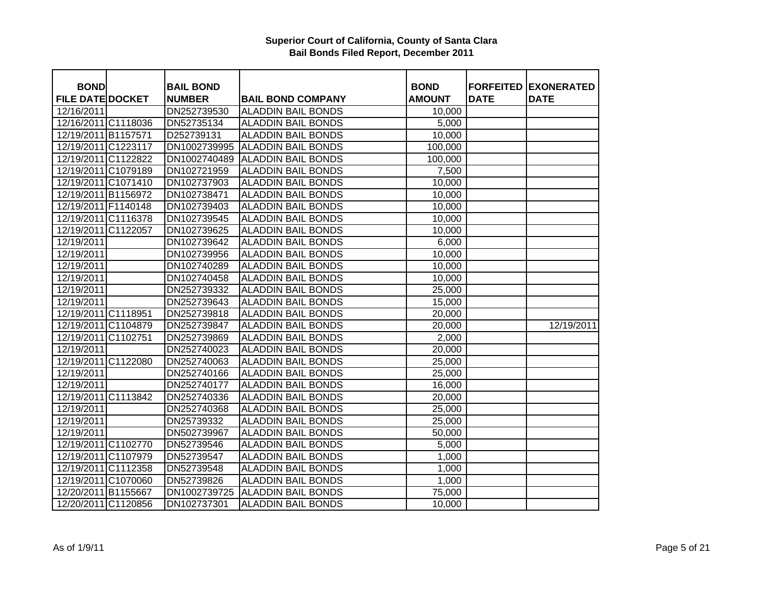| <b>BOND</b>             | <b>BAIL BOND</b> |                                 | <b>BOND</b>        |             | <b>FORFEITED EXONERATED</b> |
|-------------------------|------------------|---------------------------------|--------------------|-------------|-----------------------------|
| <b>FILE DATE DOCKET</b> | <b>NUMBER</b>    | <b>BAIL BOND COMPANY</b>        | <b>AMOUNT</b>      | <b>DATE</b> | <b>DATE</b>                 |
| 12/16/2011              | DN252739530      | <b>ALADDIN BAIL BONDS</b>       | 10,000             |             |                             |
| 12/16/2011 C1118036     | DN52735134       | <b>ALADDIN BAIL BONDS</b>       | 5,000              |             |                             |
| 12/19/2011 B1157571     | D252739131       | <b>ALADDIN BAIL BONDS</b>       | 10,000             |             |                             |
| 12/19/2011 C1223117     | DN1002739995     | <b>ALADDIN BAIL BONDS</b>       | 100,000            |             |                             |
| 12/19/2011 C1122822     |                  | DN1002740489 ALADDIN BAIL BONDS | 100,000            |             |                             |
| 12/19/2011 C1079189     | DN102721959      | <b>ALADDIN BAIL BONDS</b>       | 7,500              |             |                             |
| 12/19/2011 C1071410     | DN102737903      | <b>ALADDIN BAIL BONDS</b>       | 10,000             |             |                             |
| 12/19/2011 B1156972     | DN102738471      | <b>ALADDIN BAIL BONDS</b>       | 10,000             |             |                             |
| 12/19/2011 F1140148     | DN102739403      | <b>ALADDIN BAIL BONDS</b>       | 10,000             |             |                             |
| 12/19/2011 C1116378     | DN102739545      | <b>ALADDIN BAIL BONDS</b>       | 10,000             |             |                             |
| 12/19/2011 C1122057     | DN102739625      | <b>ALADDIN BAIL BONDS</b>       | 10,000             |             |                             |
| 12/19/2011              | DN102739642      | <b>ALADDIN BAIL BONDS</b>       | 6,000              |             |                             |
| 12/19/2011              | DN102739956      | <b>ALADDIN BAIL BONDS</b>       | 10,000             |             |                             |
| 12/19/2011              | DN102740289      | <b>ALADDIN BAIL BONDS</b>       | 10,000             |             |                             |
| 12/19/2011              | DN102740458      | <b>ALADDIN BAIL BONDS</b>       | 10,000             |             |                             |
| 12/19/2011              | DN252739332      | <b>ALADDIN BAIL BONDS</b>       | 25,000             |             |                             |
| 12/19/2011              | DN252739643      | <b>ALADDIN BAIL BONDS</b>       | 15,000             |             |                             |
| 12/19/2011 C1118951     | DN252739818      | <b>ALADDIN BAIL BONDS</b>       | 20,000             |             |                             |
| 12/19/2011 C1104879     | DN252739847      | <b>ALADDIN BAIL BONDS</b>       | 20,000             |             | 12/19/2011                  |
| 12/19/2011 C1102751     | DN252739869      | <b>ALADDIN BAIL BONDS</b>       | 2,000              |             |                             |
| 12/19/2011              | DN252740023      | <b>ALADDIN BAIL BONDS</b>       | 20,000             |             |                             |
| 12/19/2011 C1122080     | DN252740063      | <b>ALADDIN BAIL BONDS</b>       | 25,000             |             |                             |
| 12/19/2011              | DN252740166      | <b>ALADDIN BAIL BONDS</b>       | 25,000             |             |                             |
| 12/19/2011              | DN252740177      | <b>ALADDIN BAIL BONDS</b>       | 16,000             |             |                             |
| 12/19/2011 C1113842     | DN252740336      | <b>ALADDIN BAIL BONDS</b>       | 20,000             |             |                             |
| 12/19/2011              | DN252740368      | <b>ALADDIN BAIL BONDS</b>       | 25,000             |             |                             |
| 12/19/2011              | DN25739332       | <b>ALADDIN BAIL BONDS</b>       | 25,000             |             |                             |
| 12/19/2011              | DN502739967      | <b>ALADDIN BAIL BONDS</b>       | 50,000             |             |                             |
| 12/19/2011 C1102770     | DN52739546       | <b>ALADDIN BAIL BONDS</b>       | $\overline{5,000}$ |             |                             |
| 12/19/2011 C1107979     | DN52739547       | <b>ALADDIN BAIL BONDS</b>       | 1,000              |             |                             |
| 12/19/2011 C1112358     | DN52739548       | <b>ALADDIN BAIL BONDS</b>       | 1,000              |             |                             |
| 12/19/2011 C1070060     | DN52739826       | <b>ALADDIN BAIL BONDS</b>       | 1,000              |             |                             |
| 12/20/2011 B1155667     | DN1002739725     | <b>ALADDIN BAIL BONDS</b>       | 75,000             |             |                             |
| 12/20/2011 C1120856     | DN102737301      | <b>ALADDIN BAIL BONDS</b>       | 10,000             |             |                             |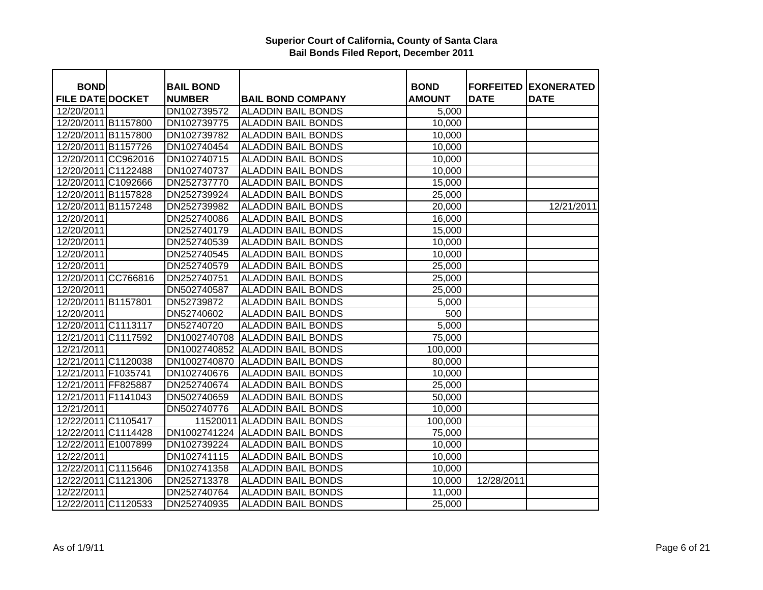| <b>BOND</b>             | <b>BAIL BOND</b> |                                 | <b>BOND</b>   |             | <b>FORFEITED EXONERATED</b> |
|-------------------------|------------------|---------------------------------|---------------|-------------|-----------------------------|
| <b>FILE DATE DOCKET</b> | <b>NUMBER</b>    | <b>BAIL BOND COMPANY</b>        | <b>AMOUNT</b> | <b>DATE</b> | <b>DATE</b>                 |
| 12/20/2011              | DN102739572      | <b>ALADDIN BAIL BONDS</b>       | 5,000         |             |                             |
| 12/20/2011 B1157800     | DN102739775      | <b>ALADDIN BAIL BONDS</b>       | 10,000        |             |                             |
| 12/20/2011 B1157800     | DN102739782      | <b>ALADDIN BAIL BONDS</b>       | 10,000        |             |                             |
| 12/20/2011 B1157726     | DN102740454      | <b>ALADDIN BAIL BONDS</b>       | 10,000        |             |                             |
| 12/20/2011 CC962016     | DN102740715      | <b>ALADDIN BAIL BONDS</b>       | 10,000        |             |                             |
| 12/20/2011 C1122488     | DN102740737      | <b>ALADDIN BAIL BONDS</b>       | 10,000        |             |                             |
| 12/20/2011 C1092666     | DN252737770      | <b>ALADDIN BAIL BONDS</b>       | 15,000        |             |                             |
| 12/20/2011 B1157828     | DN252739924      | <b>ALADDIN BAIL BONDS</b>       | 25,000        |             |                             |
| 12/20/2011 B1157248     | DN252739982      | <b>ALADDIN BAIL BONDS</b>       | 20,000        |             | 12/21/2011                  |
| 12/20/2011              | DN252740086      | <b>ALADDIN BAIL BONDS</b>       | 16,000        |             |                             |
| 12/20/2011              | DN252740179      | <b>ALADDIN BAIL BONDS</b>       | 15,000        |             |                             |
| 12/20/2011              | DN252740539      | <b>ALADDIN BAIL BONDS</b>       | 10,000        |             |                             |
| 12/20/2011              | DN252740545      | <b>ALADDIN BAIL BONDS</b>       | 10,000        |             |                             |
| 12/20/2011              | DN252740579      | <b>ALADDIN BAIL BONDS</b>       | 25,000        |             |                             |
| 12/20/2011 CC766816     | DN252740751      | <b>ALADDIN BAIL BONDS</b>       | 25,000        |             |                             |
| 12/20/2011              | DN502740587      | <b>ALADDIN BAIL BONDS</b>       | 25,000        |             |                             |
| 12/20/2011 B1157801     | DN52739872       | <b>ALADDIN BAIL BONDS</b>       | 5,000         |             |                             |
| 12/20/2011              | DN52740602       | <b>ALADDIN BAIL BONDS</b>       | 500           |             |                             |
| 12/20/2011 C1113117     | DN52740720       | <b>ALADDIN BAIL BONDS</b>       | 5,000         |             |                             |
| 12/21/2011 C1117592     | DN1002740708     | <b>ALADDIN BAIL BONDS</b>       | 75,000        |             |                             |
| 12/21/2011              | DN1002740852     | <b>ALADDIN BAIL BONDS</b>       | 100,000       |             |                             |
| 12/21/2011 C1120038     | DN1002740870     | <b>ALADDIN BAIL BONDS</b>       | 80,000        |             |                             |
| 12/21/2011 F1035741     | DN102740676      | <b>ALADDIN BAIL BONDS</b>       | 10,000        |             |                             |
| 12/21/2011 FF825887     | DN252740674      | <b>ALADDIN BAIL BONDS</b>       | 25,000        |             |                             |
| 12/21/2011 F1141043     | DN502740659      | <b>ALADDIN BAIL BONDS</b>       | 50,000        |             |                             |
| 12/21/2011              | DN502740776      | <b>ALADDIN BAIL BONDS</b>       | 10,000        |             |                             |
| 12/22/2011 C1105417     |                  | 11520011 ALADDIN BAIL BONDS     | 100,000       |             |                             |
| 12/22/2011 C1114428     |                  | DN1002741224 ALADDIN BAIL BONDS | 75,000        |             |                             |
| 12/22/2011 E1007899     | DN102739224      | <b>ALADDIN BAIL BONDS</b>       | 10,000        |             |                             |
| 12/22/2011              | DN102741115      | <b>ALADDIN BAIL BONDS</b>       | 10,000        |             |                             |
| 12/22/2011 C1115646     | DN102741358      | <b>ALADDIN BAIL BONDS</b>       | 10,000        |             |                             |
| 12/22/2011 C1121306     | DN252713378      | <b>ALADDIN BAIL BONDS</b>       | 10,000        | 12/28/2011  |                             |
| 12/22/2011              | DN252740764      | <b>ALADDIN BAIL BONDS</b>       | 11,000        |             |                             |
| 12/22/2011 C1120533     | DN252740935      | <b>ALADDIN BAIL BONDS</b>       | 25,000        |             |                             |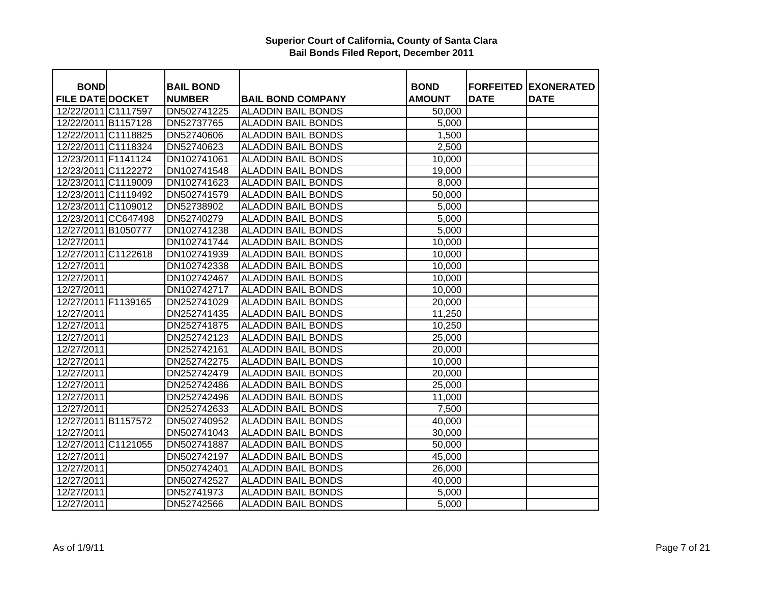| <b>BOND</b>             | <b>BAIL BOND</b> |                           | <b>BOND</b>   | <b>FORFEITED</b> | <b>EXONERATED</b> |
|-------------------------|------------------|---------------------------|---------------|------------------|-------------------|
| <b>FILE DATE DOCKET</b> | <b>NUMBER</b>    | <b>BAIL BOND COMPANY</b>  | <b>AMOUNT</b> | <b>DATE</b>      | <b>DATE</b>       |
| 12/22/2011 C1117597     | DN502741225      | <b>ALADDIN BAIL BONDS</b> | 50,000        |                  |                   |
| 12/22/2011 B1157128     | DN52737765       | <b>ALADDIN BAIL BONDS</b> | 5,000         |                  |                   |
| 12/22/2011 C1118825     | DN52740606       | <b>ALADDIN BAIL BONDS</b> | 1,500         |                  |                   |
| 12/22/2011 C1118324     | DN52740623       | <b>ALADDIN BAIL BONDS</b> | 2,500         |                  |                   |
| 12/23/2011 F1141124     | DN102741061      | <b>ALADDIN BAIL BONDS</b> | 10,000        |                  |                   |
| 12/23/2011 C1122272     | DN102741548      | <b>ALADDIN BAIL BONDS</b> | 19,000        |                  |                   |
| 12/23/2011 C1119009     | DN102741623      | <b>ALADDIN BAIL BONDS</b> | 8,000         |                  |                   |
| 12/23/2011 C1119492     | DN502741579      | <b>ALADDIN BAIL BONDS</b> | 50,000        |                  |                   |
| 12/23/2011 C1109012     | DN52738902       | <b>ALADDIN BAIL BONDS</b> | 5,000         |                  |                   |
| 12/23/2011 CC647498     | DN52740279       | <b>ALADDIN BAIL BONDS</b> | 5,000         |                  |                   |
| 12/27/2011 B1050777     | DN102741238      | <b>ALADDIN BAIL BONDS</b> | 5,000         |                  |                   |
| 12/27/2011              | DN102741744      | <b>ALADDIN BAIL BONDS</b> | 10,000        |                  |                   |
| 12/27/2011 C1122618     | DN102741939      | <b>ALADDIN BAIL BONDS</b> | 10,000        |                  |                   |
| 12/27/2011              | DN102742338      | <b>ALADDIN BAIL BONDS</b> | 10,000        |                  |                   |
| 12/27/2011              | DN102742467      | <b>ALADDIN BAIL BONDS</b> | 10,000        |                  |                   |
| 12/27/2011              | DN102742717      | <b>ALADDIN BAIL BONDS</b> | 10,000        |                  |                   |
| 12/27/2011 F1139165     | DN252741029      | <b>ALADDIN BAIL BONDS</b> | 20,000        |                  |                   |
| 12/27/2011              | DN252741435      | <b>ALADDIN BAIL BONDS</b> | 11,250        |                  |                   |
| 12/27/2011              | DN252741875      | <b>ALADDIN BAIL BONDS</b> | 10,250        |                  |                   |
| 12/27/2011              | DN252742123      | <b>ALADDIN BAIL BONDS</b> | 25,000        |                  |                   |
| 12/27/2011              | DN252742161      | <b>ALADDIN BAIL BONDS</b> | 20,000        |                  |                   |
| 12/27/2011              | DN252742275      | <b>ALADDIN BAIL BONDS</b> | 10,000        |                  |                   |
| 12/27/2011              | DN252742479      | <b>ALADDIN BAIL BONDS</b> | 20,000        |                  |                   |
| 12/27/2011              | DN252742486      | <b>ALADDIN BAIL BONDS</b> | 25,000        |                  |                   |
| 12/27/2011              | DN252742496      | <b>ALADDIN BAIL BONDS</b> | 11,000        |                  |                   |
| 12/27/2011              | DN252742633      | <b>ALADDIN BAIL BONDS</b> | 7,500         |                  |                   |
| 12/27/2011 B1157572     | DN502740952      | <b>ALADDIN BAIL BONDS</b> | 40,000        |                  |                   |
| 12/27/2011              | DN502741043      | <b>ALADDIN BAIL BONDS</b> | 30,000        |                  |                   |
| 12/27/2011 C1121055     | DN502741887      | <b>ALADDIN BAIL BONDS</b> | 50,000        |                  |                   |
| 12/27/2011              | DN502742197      | <b>ALADDIN BAIL BONDS</b> | 45,000        |                  |                   |
| 12/27/2011              | DN502742401      | <b>ALADDIN BAIL BONDS</b> | 26,000        |                  |                   |
| 12/27/2011              | DN502742527      | <b>ALADDIN BAIL BONDS</b> | 40,000        |                  |                   |
| 12/27/2011              | DN52741973       | <b>ALADDIN BAIL BONDS</b> | 5,000         |                  |                   |
| 12/27/2011              | DN52742566       | <b>ALADDIN BAIL BONDS</b> | 5,000         |                  |                   |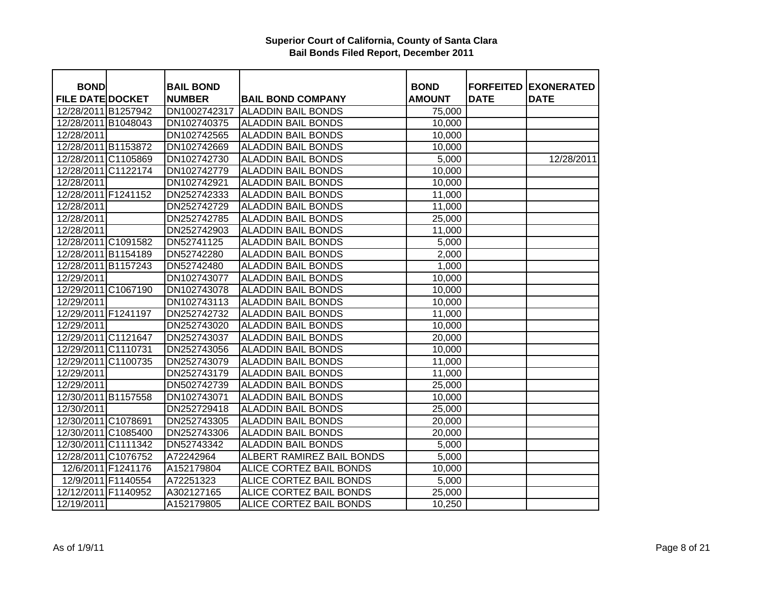| <b>BOND</b>             |                    | <b>BAIL BOND</b> |                           | <b>BOND</b>   |             | <b>FORFEITED EXONERATED</b> |
|-------------------------|--------------------|------------------|---------------------------|---------------|-------------|-----------------------------|
| <b>FILE DATE DOCKET</b> |                    | <b>NUMBER</b>    | <b>BAIL BOND COMPANY</b>  | <b>AMOUNT</b> | <b>DATE</b> | <b>DATE</b>                 |
| 12/28/2011 B1257942     |                    | DN1002742317     | <b>ALADDIN BAIL BONDS</b> | 75,000        |             |                             |
| 12/28/2011 B1048043     |                    | DN102740375      | <b>ALADDIN BAIL BONDS</b> | 10,000        |             |                             |
| 12/28/2011              |                    | DN102742565      | <b>ALADDIN BAIL BONDS</b> | 10,000        |             |                             |
| 12/28/2011 B1153872     |                    | DN102742669      | <b>ALADDIN BAIL BONDS</b> | 10,000        |             |                             |
| 12/28/2011 C1105869     |                    | DN102742730      | <b>ALADDIN BAIL BONDS</b> | 5,000         |             | 12/28/2011                  |
| 12/28/2011 C1122174     |                    | DN102742779      | <b>ALADDIN BAIL BONDS</b> | 10,000        |             |                             |
| 12/28/2011              |                    | DN102742921      | <b>ALADDIN BAIL BONDS</b> | 10,000        |             |                             |
| 12/28/2011 F1241152     |                    | DN252742333      | <b>ALADDIN BAIL BONDS</b> | 11,000        |             |                             |
| 12/28/2011              |                    | DN252742729      | <b>ALADDIN BAIL BONDS</b> | 11,000        |             |                             |
| 12/28/2011              |                    | DN252742785      | <b>ALADDIN BAIL BONDS</b> | 25,000        |             |                             |
| 12/28/2011              |                    | DN252742903      | <b>ALADDIN BAIL BONDS</b> | 11,000        |             |                             |
| 12/28/2011 C1091582     |                    | DN52741125       | <b>ALADDIN BAIL BONDS</b> | 5,000         |             |                             |
| 12/28/2011 B1154189     |                    | DN52742280       | <b>ALADDIN BAIL BONDS</b> | 2,000         |             |                             |
| 12/28/2011 B1157243     |                    | DN52742480       | <b>ALADDIN BAIL BONDS</b> | 1,000         |             |                             |
| 12/29/2011              |                    | DN102743077      | <b>ALADDIN BAIL BONDS</b> | 10,000        |             |                             |
| 12/29/2011 C1067190     |                    | DN102743078      | <b>ALADDIN BAIL BONDS</b> | 10,000        |             |                             |
| 12/29/2011              |                    | DN102743113      | <b>ALADDIN BAIL BONDS</b> | 10,000        |             |                             |
| 12/29/2011 F1241197     |                    | DN252742732      | <b>ALADDIN BAIL BONDS</b> | 11,000        |             |                             |
| 12/29/2011              |                    | DN252743020      | <b>ALADDIN BAIL BONDS</b> | 10,000        |             |                             |
| 12/29/2011 C1121647     |                    | DN252743037      | <b>ALADDIN BAIL BONDS</b> | 20,000        |             |                             |
| 12/29/2011 C1110731     |                    | DN252743056      | <b>ALADDIN BAIL BONDS</b> | 10,000        |             |                             |
| 12/29/2011 C1100735     |                    | DN252743079      | <b>ALADDIN BAIL BONDS</b> | 11,000        |             |                             |
| 12/29/2011              |                    | DN252743179      | <b>ALADDIN BAIL BONDS</b> | 11,000        |             |                             |
| 12/29/2011              |                    | DN502742739      | <b>ALADDIN BAIL BONDS</b> | 25,000        |             |                             |
| 12/30/2011 B1157558     |                    | DN102743071      | <b>ALADDIN BAIL BONDS</b> | 10,000        |             |                             |
| 12/30/2011              |                    | DN252729418      | <b>ALADDIN BAIL BONDS</b> | 25,000        |             |                             |
| 12/30/2011 C1078691     |                    | DN252743305      | <b>ALADDIN BAIL BONDS</b> | 20,000        |             |                             |
| 12/30/2011 C1085400     |                    | DN252743306      | <b>ALADDIN BAIL BONDS</b> | 20,000        |             |                             |
| 12/30/2011 C1111342     |                    | DN52743342       | <b>ALADDIN BAIL BONDS</b> | 5,000         |             |                             |
| 12/28/2011 C1076752     |                    | A72242964        | ALBERT RAMIREZ BAIL BONDS | 5,000         |             |                             |
|                         | 12/6/2011 F1241176 | A152179804       | ALICE CORTEZ BAIL BONDS   | 10,000        |             |                             |
|                         | 12/9/2011 F1140554 | A72251323        | ALICE CORTEZ BAIL BONDS   | 5,000         |             |                             |
| 12/12/2011 F1140952     |                    | A302127165       | ALICE CORTEZ BAIL BONDS   | 25,000        |             |                             |
| 12/19/2011              |                    | A152179805       | ALICE CORTEZ BAIL BONDS   | 10,250        |             |                             |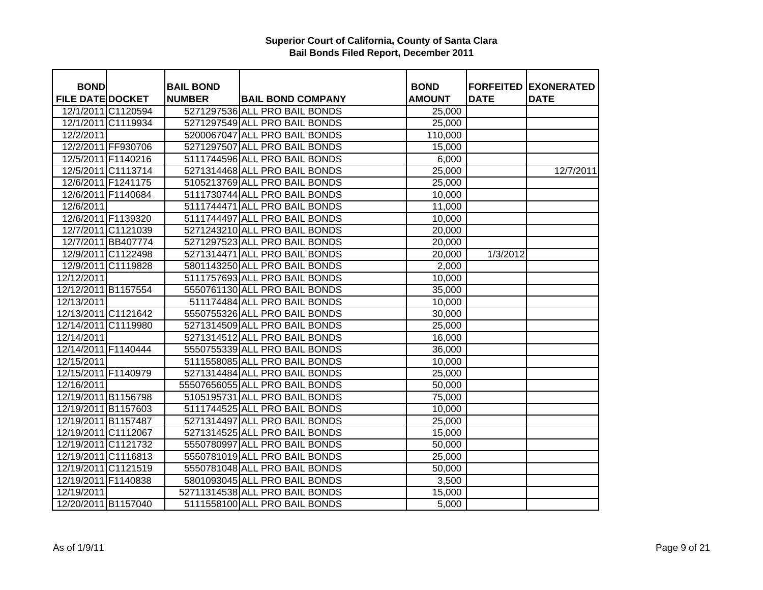| <b>BOND</b>             |                    | <b>BAIL BOND</b> |                                | <b>BOND</b>   |             | <b>FORFEITED EXONERATED</b> |
|-------------------------|--------------------|------------------|--------------------------------|---------------|-------------|-----------------------------|
| <b>FILE DATE DOCKET</b> |                    | <b>NUMBER</b>    | <b>BAIL BOND COMPANY</b>       | <b>AMOUNT</b> | <b>DATE</b> | <b>DATE</b>                 |
|                         | 12/1/2011 C1120594 |                  | 5271297536 ALL PRO BAIL BONDS  | 25,000        |             |                             |
|                         | 12/1/2011 C1119934 |                  | 5271297549 ALL PRO BAIL BONDS  | 25,000        |             |                             |
| 12/2/2011               |                    |                  | 5200067047 ALL PRO BAIL BONDS  | 110,000       |             |                             |
|                         | 12/2/2011 FF930706 |                  | 5271297507 ALL PRO BAIL BONDS  | 15,000        |             |                             |
|                         | 12/5/2011 F1140216 |                  | 5111744596 ALL PRO BAIL BONDS  | 6,000         |             |                             |
|                         | 12/5/2011 C1113714 |                  | 5271314468 ALL PRO BAIL BONDS  | 25,000        |             | 12/7/2011                   |
|                         | 12/6/2011 F1241175 |                  | 5105213769 ALL PRO BAIL BONDS  | 25,000        |             |                             |
|                         | 12/6/2011 F1140684 |                  | 5111730744 ALL PRO BAIL BONDS  | 10,000        |             |                             |
| 12/6/2011               |                    |                  | 5111744471 ALL PRO BAIL BONDS  | 11,000        |             |                             |
|                         | 12/6/2011 F1139320 |                  | 5111744497 ALL PRO BAIL BONDS  | 10,000        |             |                             |
|                         | 12/7/2011 C1121039 |                  | 5271243210 ALL PRO BAIL BONDS  | 20,000        |             |                             |
|                         | 12/7/2011 BB407774 |                  | 5271297523 ALL PRO BAIL BONDS  | 20,000        |             |                             |
|                         | 12/9/2011 C1122498 |                  | 5271314471 ALL PRO BAIL BONDS  | 20,000        | 1/3/2012    |                             |
|                         | 12/9/2011 C1119828 |                  | 5801143250 ALL PRO BAIL BONDS  | 2,000         |             |                             |
| 12/12/2011              |                    |                  | 5111757693 ALL PRO BAIL BONDS  | 10,000        |             |                             |
| 12/12/2011 B1157554     |                    |                  | 5550761130 ALL PRO BAIL BONDS  | 35,000        |             |                             |
| 12/13/2011              |                    |                  | 511174484 ALL PRO BAIL BONDS   | 10,000        |             |                             |
| 12/13/2011 C1121642     |                    |                  | 5550755326 ALL PRO BAIL BONDS  | 30,000        |             |                             |
| 12/14/2011 C1119980     |                    |                  | 5271314509 ALL PRO BAIL BONDS  | 25,000        |             |                             |
| 12/14/2011              |                    |                  | 5271314512 ALL PRO BAIL BONDS  | 16,000        |             |                             |
| 12/14/2011 F1140444     |                    |                  | 5550755339 ALL PRO BAIL BONDS  | 36,000        |             |                             |
| 12/15/2011              |                    |                  | 5111558085 ALL PRO BAIL BONDS  | 10,000        |             |                             |
| 12/15/2011 F1140979     |                    |                  | 5271314484 ALL PRO BAIL BONDS  | 25,000        |             |                             |
| 12/16/2011              |                    |                  | 55507656055 ALL PRO BAIL BONDS | 50,000        |             |                             |
| 12/19/2011 B1156798     |                    |                  | 5105195731 ALL PRO BAIL BONDS  | 75,000        |             |                             |
| 12/19/2011 B1157603     |                    |                  | 5111744525 ALL PRO BAIL BONDS  | 10,000        |             |                             |
| 12/19/2011 B1157487     |                    |                  | 5271314497 ALL PRO BAIL BONDS  | 25,000        |             |                             |
| 12/19/2011 C1112067     |                    |                  | 5271314525 ALL PRO BAIL BONDS  | 15,000        |             |                             |
| 12/19/2011 C1121732     |                    |                  | 5550780997 ALL PRO BAIL BONDS  | 50,000        |             |                             |
| 12/19/2011 C1116813     |                    |                  | 5550781019 ALL PRO BAIL BONDS  | 25,000        |             |                             |
| 12/19/2011 C1121519     |                    |                  | 5550781048 ALL PRO BAIL BONDS  | 50,000        |             |                             |
| 12/19/2011 F1140838     |                    |                  | 5801093045 ALL PRO BAIL BONDS  | 3,500         |             |                             |
| 12/19/2011              |                    |                  | 52711314538 ALL PRO BAIL BONDS | 15,000        |             |                             |
| 12/20/2011 B1157040     |                    |                  | 5111558100 ALL PRO BAIL BONDS  | 5,000         |             |                             |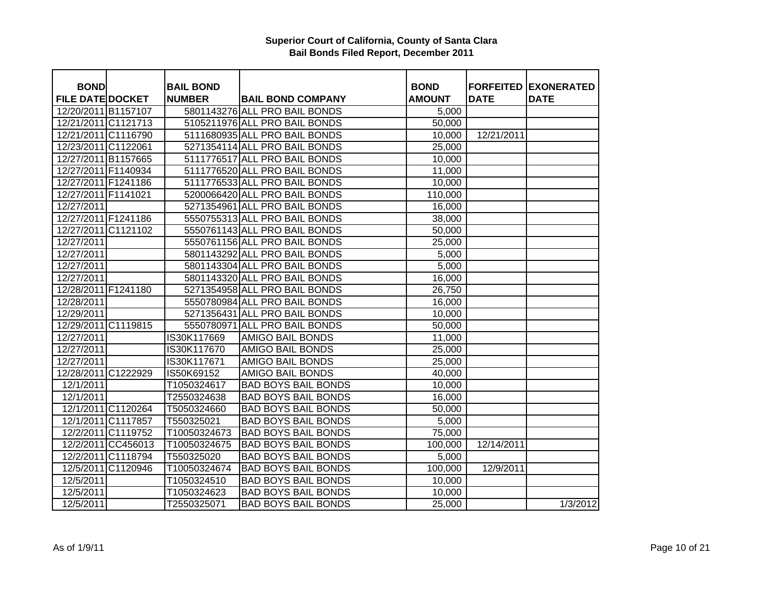| <b>BOND</b>             |                    | <b>BAIL BOND</b> |                                                           | <b>BOND</b>        |             | <b>FORFEITED EXONERATED</b> |
|-------------------------|--------------------|------------------|-----------------------------------------------------------|--------------------|-------------|-----------------------------|
| <b>FILE DATE DOCKET</b> |                    | <b>NUMBER</b>    | <b>BAIL BOND COMPANY</b><br>5801143276 ALL PRO BAIL BONDS | <b>AMOUNT</b>      | <b>DATE</b> | <b>DATE</b>                 |
| 12/20/2011 B1157107     |                    |                  |                                                           | 5,000              |             |                             |
| 12/21/2011 C1121713     |                    |                  | 5105211976 ALL PRO BAIL BONDS                             | 50,000             |             |                             |
| 12/21/2011 C1116790     |                    |                  | 5111680935 ALL PRO BAIL BONDS                             | 10,000             | 12/21/2011  |                             |
| 12/23/2011 C1122061     |                    |                  | 5271354114 ALL PRO BAIL BONDS                             | 25,000             |             |                             |
| 12/27/2011 B1157665     |                    |                  | 5111776517 ALL PRO BAIL BONDS                             | 10,000             |             |                             |
| 12/27/2011 F1140934     |                    |                  | 5111776520 ALL PRO BAIL BONDS                             | 11,000             |             |                             |
| 12/27/2011 F1241186     |                    |                  | 5111776533 ALL PRO BAIL BONDS                             | 10,000             |             |                             |
| 12/27/2011 F1141021     |                    |                  | 5200066420 ALL PRO BAIL BONDS                             | 110,000            |             |                             |
| 12/27/2011              |                    |                  | 5271354961 ALL PRO BAIL BONDS                             | 16,000             |             |                             |
| 12/27/2011 F1241186     |                    |                  | 5550755313 ALL PRO BAIL BONDS                             | 38,000             |             |                             |
| 12/27/2011 C1121102     |                    |                  | 5550761143 ALL PRO BAIL BONDS                             | 50,000             |             |                             |
| 12/27/2011              |                    |                  | 5550761156 ALL PRO BAIL BONDS                             | 25,000             |             |                             |
| 12/27/2011              |                    |                  | 5801143292 ALL PRO BAIL BONDS                             | 5,000              |             |                             |
| 12/27/2011              |                    |                  | 5801143304 ALL PRO BAIL BONDS                             | 5,000              |             |                             |
| 12/27/2011              |                    |                  | 5801143320 ALL PRO BAIL BONDS                             | 16,000             |             |                             |
| 12/28/2011 F1241180     |                    |                  | 5271354958 ALL PRO BAIL BONDS                             | 26,750             |             |                             |
| 12/28/2011              |                    |                  | 5550780984 ALL PRO BAIL BONDS                             | 16,000             |             |                             |
| 12/29/2011              |                    |                  | 5271356431 ALL PRO BAIL BONDS                             | 10,000             |             |                             |
| 12/29/2011 C1119815     |                    |                  | 5550780971 ALL PRO BAIL BONDS                             | 50,000             |             |                             |
| 12/27/2011              |                    | IS30K117669      | <b>AMIGO BAIL BONDS</b>                                   | 11,000             |             |                             |
| 12/27/2011              |                    | IS30K117670      | <b>AMIGO BAIL BONDS</b>                                   | 25,000             |             |                             |
| 12/27/2011              |                    | IS30K117671      | <b>AMIGO BAIL BONDS</b>                                   | 25,000             |             |                             |
| 12/28/2011 C1222929     |                    | IS50K69152       | <b>AMIGO BAIL BONDS</b>                                   | 40,000             |             |                             |
| 12/1/2011               |                    | T1050324617      | <b>BAD BOYS BAIL BONDS</b>                                | 10,000             |             |                             |
| 12/1/2011               |                    | T2550324638      | <b>BAD BOYS BAIL BONDS</b>                                | 16,000             |             |                             |
|                         | 12/1/2011 C1120264 | T5050324660      | <b>BAD BOYS BAIL BONDS</b>                                | 50,000             |             |                             |
|                         | 12/1/2011 C1117857 | T550325021       | <b>BAD BOYS BAIL BONDS</b>                                | $\overline{5,000}$ |             |                             |
|                         | 12/2/2011 C1119752 | T10050324673     | <b>BAD BOYS BAIL BONDS</b>                                | 75,000             |             |                             |
|                         | 12/2/2011 CC456013 | T10050324675     | <b>BAD BOYS BAIL BONDS</b>                                | 100,000            | 12/14/2011  |                             |
|                         | 12/2/2011 C1118794 | T550325020       | <b>BAD BOYS BAIL BONDS</b>                                | 5,000              |             |                             |
|                         | 12/5/2011 C1120946 | T10050324674     | <b>BAD BOYS BAIL BONDS</b>                                | 100,000            | 12/9/2011   |                             |
| 12/5/2011               |                    | T1050324510      | <b>BAD BOYS BAIL BONDS</b>                                | 10,000             |             |                             |
| 12/5/2011               |                    | T1050324623      | <b>BAD BOYS BAIL BONDS</b>                                | 10,000             |             |                             |
| 12/5/2011               |                    | T2550325071      | <b>BAD BOYS BAIL BONDS</b>                                | 25,000             |             | 1/3/2012                    |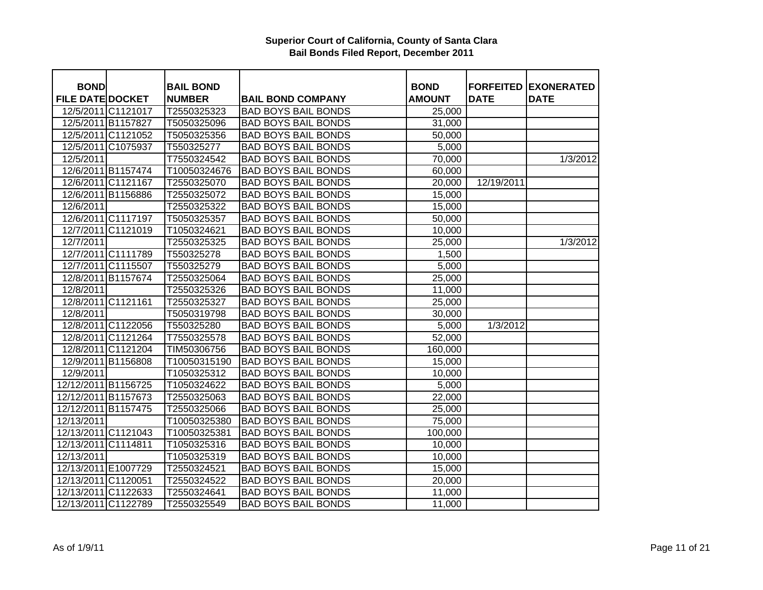| <b>BOND</b>             |                    | <b>BAIL BOND</b> |                            | <b>BOND</b>   |             | <b>FORFEITED EXONERATED</b> |
|-------------------------|--------------------|------------------|----------------------------|---------------|-------------|-----------------------------|
| <b>FILE DATE DOCKET</b> |                    | <b>NUMBER</b>    | <b>BAIL BOND COMPANY</b>   | <b>AMOUNT</b> | <b>DATE</b> | <b>DATE</b>                 |
|                         | 12/5/2011 C1121017 | T2550325323      | <b>BAD BOYS BAIL BONDS</b> | 25,000        |             |                             |
|                         | 12/5/2011 B1157827 | T5050325096      | <b>BAD BOYS BAIL BONDS</b> | 31,000        |             |                             |
|                         | 12/5/2011 C1121052 | T5050325356      | <b>BAD BOYS BAIL BONDS</b> | 50,000        |             |                             |
|                         | 12/5/2011 C1075937 | T550325277       | <b>BAD BOYS BAIL BONDS</b> | 5,000         |             |                             |
| 12/5/2011               |                    | T7550324542      | <b>BAD BOYS BAIL BONDS</b> | 70,000        |             | 1/3/2012                    |
|                         | 12/6/2011 B1157474 | T10050324676     | <b>BAD BOYS BAIL BONDS</b> | 60,000        |             |                             |
|                         | 12/6/2011 C1121167 | T2550325070      | <b>BAD BOYS BAIL BONDS</b> | 20,000        | 12/19/2011  |                             |
|                         | 12/6/2011 B1156886 | T2550325072      | <b>BAD BOYS BAIL BONDS</b> | 15,000        |             |                             |
| 12/6/2011               |                    | T2550325322      | <b>BAD BOYS BAIL BONDS</b> | 15,000        |             |                             |
|                         | 12/6/2011 C1117197 | T5050325357      | <b>BAD BOYS BAIL BONDS</b> | 50,000        |             |                             |
|                         | 12/7/2011 C1121019 | T1050324621      | <b>BAD BOYS BAIL BONDS</b> | 10,000        |             |                             |
| 12/7/2011               |                    | T2550325325      | <b>BAD BOYS BAIL BONDS</b> | 25,000        |             | 1/3/2012                    |
|                         | 12/7/2011 C1111789 | T550325278       | <b>BAD BOYS BAIL BONDS</b> | 1,500         |             |                             |
|                         | 12/7/2011 C1115507 | T550325279       | <b>BAD BOYS BAIL BONDS</b> | 5,000         |             |                             |
|                         | 12/8/2011 B1157674 | T2550325064      | <b>BAD BOYS BAIL BONDS</b> | 25,000        |             |                             |
| 12/8/2011               |                    | T2550325326      | <b>BAD BOYS BAIL BONDS</b> | 11,000        |             |                             |
|                         | 12/8/2011 C1121161 | T2550325327      | <b>BAD BOYS BAIL BONDS</b> | 25,000        |             |                             |
| 12/8/2011               |                    | T5050319798      | <b>BAD BOYS BAIL BONDS</b> | 30,000        |             |                             |
|                         | 12/8/2011 C1122056 | T550325280       | <b>BAD BOYS BAIL BONDS</b> | 5,000         | 1/3/2012    |                             |
|                         | 12/8/2011 C1121264 | T7550325578      | <b>BAD BOYS BAIL BONDS</b> | 52,000        |             |                             |
|                         | 12/8/2011 C1121204 | TIM50306756      | <b>BAD BOYS BAIL BONDS</b> | 160,000       |             |                             |
|                         | 12/9/2011 B1156808 | T10050315190     | <b>BAD BOYS BAIL BONDS</b> | 15,000        |             |                             |
| 12/9/2011               |                    | T1050325312      | <b>BAD BOYS BAIL BONDS</b> | 10,000        |             |                             |
| 12/12/2011 B1156725     |                    | T1050324622      | <b>BAD BOYS BAIL BONDS</b> | 5,000         |             |                             |
| 12/12/2011 B1157673     |                    | T2550325063      | <b>BAD BOYS BAIL BONDS</b> | 22,000        |             |                             |
| 12/12/2011 B1157475     |                    | T2550325066      | <b>BAD BOYS BAIL BONDS</b> | 25,000        |             |                             |
| 12/13/2011              |                    | T10050325380     | <b>BAD BOYS BAIL BONDS</b> | 75,000        |             |                             |
| 12/13/2011 C1121043     |                    | T10050325381     | <b>BAD BOYS BAIL BONDS</b> | 100,000       |             |                             |
| 12/13/2011 C1114811     |                    | T1050325316      | <b>BAD BOYS BAIL BONDS</b> | 10,000        |             |                             |
| 12/13/2011              |                    | T1050325319      | <b>BAD BOYS BAIL BONDS</b> | 10,000        |             |                             |
| 12/13/2011 E1007729     |                    | T2550324521      | <b>BAD BOYS BAIL BONDS</b> | 15,000        |             |                             |
| 12/13/2011 C1120051     |                    | T2550324522      | <b>BAD BOYS BAIL BONDS</b> | 20,000        |             |                             |
| 12/13/2011 C1122633     |                    | T2550324641      | <b>BAD BOYS BAIL BONDS</b> | 11,000        |             |                             |
| 12/13/2011 C1122789     |                    | T2550325549      | <b>BAD BOYS BAIL BONDS</b> | 11,000        |             |                             |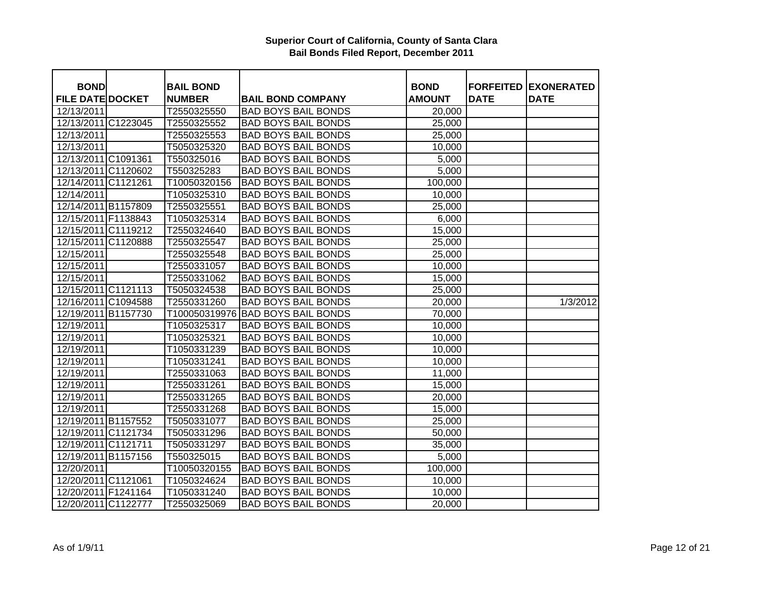| <b>BOND</b>             | <b>BAIL BOND</b> |                            | <b>BOND</b>   |             | <b>FORFEITED EXONERATED</b> |
|-------------------------|------------------|----------------------------|---------------|-------------|-----------------------------|
| <b>FILE DATE DOCKET</b> | <b>NUMBER</b>    | <b>BAIL BOND COMPANY</b>   | <b>AMOUNT</b> | <b>DATE</b> | <b>DATE</b>                 |
| 12/13/2011              | T2550325550      | <b>BAD BOYS BAIL BONDS</b> | 20,000        |             |                             |
| 12/13/2011 C1223045     | T2550325552      | <b>BAD BOYS BAIL BONDS</b> | 25,000        |             |                             |
| 12/13/2011              | T2550325553      | <b>BAD BOYS BAIL BONDS</b> | 25,000        |             |                             |
| 12/13/2011              | T5050325320      | <b>BAD BOYS BAIL BONDS</b> | 10,000        |             |                             |
| 12/13/2011 C1091361     | T550325016       | <b>BAD BOYS BAIL BONDS</b> | 5,000         |             |                             |
| 12/13/2011 C1120602     | T550325283       | <b>BAD BOYS BAIL BONDS</b> | 5,000         |             |                             |
| 12/14/2011 C1121261     | T10050320156     | <b>BAD BOYS BAIL BONDS</b> | 100,000       |             |                             |
| 12/14/2011              | T1050325310      | <b>BAD BOYS BAIL BONDS</b> | 10,000        |             |                             |
| 12/14/2011 B1157809     | T2550325551      | <b>BAD BOYS BAIL BONDS</b> | 25,000        |             |                             |
| 12/15/2011 F1138843     | T1050325314      | <b>BAD BOYS BAIL BONDS</b> | 6,000         |             |                             |
| 12/15/2011 C1119212     | T2550324640      | <b>BAD BOYS BAIL BONDS</b> | 15,000        |             |                             |
| 12/15/2011 C1120888     | T2550325547      | <b>BAD BOYS BAIL BONDS</b> | 25,000        |             |                             |
| 12/15/2011              | T2550325548      | <b>BAD BOYS BAIL BONDS</b> | 25,000        |             |                             |
| 12/15/2011              | T2550331057      | <b>BAD BOYS BAIL BONDS</b> | 10,000        |             |                             |
| 12/15/2011              | T2550331062      | <b>BAD BOYS BAIL BONDS</b> | 15,000        |             |                             |
| 12/15/2011 C1121113     | T5050324538      | <b>BAD BOYS BAIL BONDS</b> | 25,000        |             |                             |
| 12/16/2011 C1094588     | T2550331260      | <b>BAD BOYS BAIL BONDS</b> | 20,000        |             | 1/3/2012                    |
| 12/19/2011 B1157730     | T100050319976    | <b>BAD BOYS BAIL BONDS</b> | 70,000        |             |                             |
| 12/19/2011              | T1050325317      | <b>BAD BOYS BAIL BONDS</b> | 10,000        |             |                             |
| 12/19/2011              | T1050325321      | <b>BAD BOYS BAIL BONDS</b> | 10,000        |             |                             |
| 12/19/2011              | T1050331239      | <b>BAD BOYS BAIL BONDS</b> | 10,000        |             |                             |
| 12/19/2011              | T1050331241      | <b>BAD BOYS BAIL BONDS</b> | 10,000        |             |                             |
| 12/19/2011              | T2550331063      | <b>BAD BOYS BAIL BONDS</b> | 11,000        |             |                             |
| 12/19/2011              | T2550331261      | <b>BAD BOYS BAIL BONDS</b> | 15,000        |             |                             |
| 12/19/2011              | T2550331265      | <b>BAD BOYS BAIL BONDS</b> | 20,000        |             |                             |
| 12/19/2011              | T2550331268      | <b>BAD BOYS BAIL BONDS</b> | 15,000        |             |                             |
| 12/19/2011 B1157552     | T5050331077      | <b>BAD BOYS BAIL BONDS</b> | 25,000        |             |                             |
| 12/19/2011 C1121734     | T5050331296      | <b>BAD BOYS BAIL BONDS</b> | 50,000        |             |                             |
| 12/19/2011 C1121711     | T5050331297      | <b>BAD BOYS BAIL BONDS</b> | 35,000        |             |                             |
| 12/19/2011 B1157156     | T550325015       | <b>BAD BOYS BAIL BONDS</b> | 5,000         |             |                             |
| 12/20/2011              | T10050320155     | <b>BAD BOYS BAIL BONDS</b> | 100,000       |             |                             |
| 12/20/2011 C1121061     | T1050324624      | <b>BAD BOYS BAIL BONDS</b> | 10,000        |             |                             |
| 12/20/2011 F1241164     | T1050331240      | <b>BAD BOYS BAIL BONDS</b> | 10,000        |             |                             |
| 12/20/2011 C1122777     | T2550325069      | <b>BAD BOYS BAIL BONDS</b> | 20,000        |             |                             |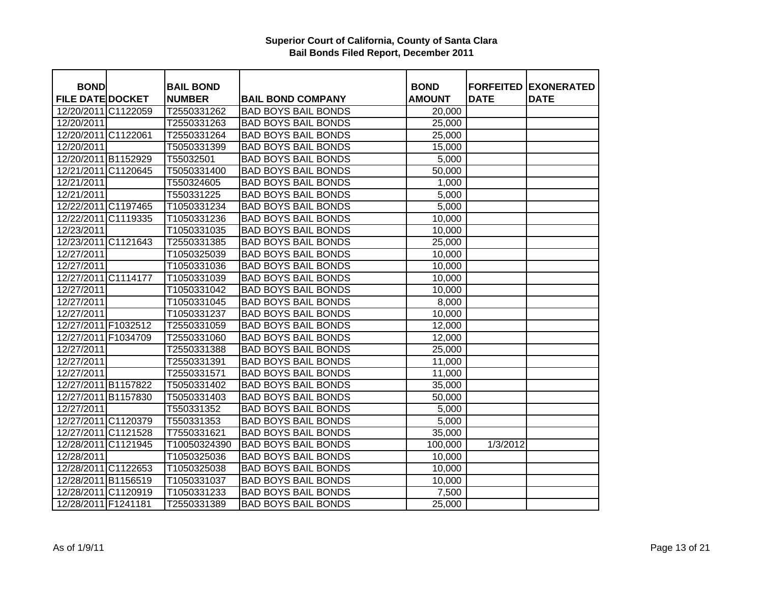| <b>BOND</b>             | <b>BAIL BOND</b> |                            | <b>BOND</b>   |             | <b>FORFEITED EXONERATED</b> |
|-------------------------|------------------|----------------------------|---------------|-------------|-----------------------------|
| <b>FILE DATE DOCKET</b> | <b>NUMBER</b>    | <b>BAIL BOND COMPANY</b>   | <b>AMOUNT</b> | <b>DATE</b> | <b>DATE</b>                 |
| 12/20/2011 C1122059     | T2550331262      | <b>BAD BOYS BAIL BONDS</b> | 20,000        |             |                             |
| 12/20/2011              | T2550331263      | <b>BAD BOYS BAIL BONDS</b> | 25,000        |             |                             |
| 12/20/2011 C1122061     | T2550331264      | <b>BAD BOYS BAIL BONDS</b> | 25,000        |             |                             |
| 12/20/2011              | T5050331399      | <b>BAD BOYS BAIL BONDS</b> | 15,000        |             |                             |
| 12/20/2011 B1152929     | T55032501        | <b>BAD BOYS BAIL BONDS</b> | 5,000         |             |                             |
| 12/21/2011 C1120645     | T5050331400      | <b>BAD BOYS BAIL BONDS</b> | 50,000        |             |                             |
| 12/21/2011              | T550324605       | <b>BAD BOYS BAIL BONDS</b> | 1,000         |             |                             |
| 12/21/2011              | T550331225       | <b>BAD BOYS BAIL BONDS</b> | 5,000         |             |                             |
| 12/22/2011 C1197465     | T1050331234      | <b>BAD BOYS BAIL BONDS</b> | 5,000         |             |                             |
| 12/22/2011 C1119335     | T1050331236      | <b>BAD BOYS BAIL BONDS</b> | 10,000        |             |                             |
| 12/23/2011              | T1050331035      | <b>BAD BOYS BAIL BONDS</b> | 10,000        |             |                             |
| 12/23/2011 C1121643     | T2550331385      | <b>BAD BOYS BAIL BONDS</b> | 25,000        |             |                             |
| 12/27/2011              | T1050325039      | <b>BAD BOYS BAIL BONDS</b> | 10,000        |             |                             |
| 12/27/2011              | T1050331036      | <b>BAD BOYS BAIL BONDS</b> | 10,000        |             |                             |
| 12/27/2011 C1114177     | T1050331039      | <b>BAD BOYS BAIL BONDS</b> | 10,000        |             |                             |
| 12/27/2011              | T1050331042      | <b>BAD BOYS BAIL BONDS</b> | 10,000        |             |                             |
| 12/27/2011              | T1050331045      | <b>BAD BOYS BAIL BONDS</b> | 8,000         |             |                             |
| 12/27/2011              | T1050331237      | <b>BAD BOYS BAIL BONDS</b> | 10,000        |             |                             |
| 12/27/2011 F1032512     | T2550331059      | <b>BAD BOYS BAIL BONDS</b> | 12,000        |             |                             |
| 12/27/2011 F1034709     | T2550331060      | <b>BAD BOYS BAIL BONDS</b> | 12,000        |             |                             |
| 12/27/2011              | T2550331388      | <b>BAD BOYS BAIL BONDS</b> | 25,000        |             |                             |
| 12/27/2011              | T2550331391      | <b>BAD BOYS BAIL BONDS</b> | 11,000        |             |                             |
| 12/27/2011              | T2550331571      | <b>BAD BOYS BAIL BONDS</b> | 11,000        |             |                             |
| 12/27/2011 B1157822     | T5050331402      | <b>BAD BOYS BAIL BONDS</b> | 35,000        |             |                             |
| 12/27/2011 B1157830     | T5050331403      | <b>BAD BOYS BAIL BONDS</b> | 50,000        |             |                             |
| 12/27/2011              | T550331352       | <b>BAD BOYS BAIL BONDS</b> | 5,000         |             |                             |
| 12/27/2011 C1120379     | T550331353       | <b>BAD BOYS BAIL BONDS</b> | 5,000         |             |                             |
| 12/27/2011 C1121528     | T7550331621      | <b>BAD BOYS BAIL BONDS</b> | 35,000        |             |                             |
| 12/28/2011 C1121945     | T10050324390     | <b>BAD BOYS BAIL BONDS</b> | 100,000       | 1/3/2012    |                             |
| 12/28/2011              | T1050325036      | <b>BAD BOYS BAIL BONDS</b> | 10,000        |             |                             |
| 12/28/2011 C1122653     | T1050325038      | <b>BAD BOYS BAIL BONDS</b> | 10,000        |             |                             |
| 12/28/2011 B1156519     | T1050331037      | <b>BAD BOYS BAIL BONDS</b> | 10,000        |             |                             |
| 12/28/2011 C1120919     | T1050331233      | <b>BAD BOYS BAIL BONDS</b> | 7,500         |             |                             |
| 12/28/2011 F1241181     | T2550331389      | <b>BAD BOYS BAIL BONDS</b> | 25,000        |             |                             |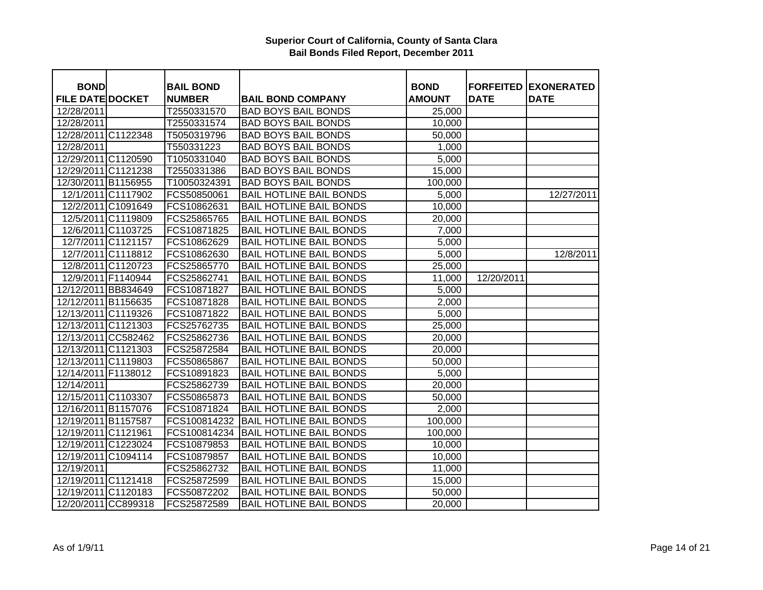| <b>BOND</b>             |                    | <b>BAIL BOND</b> |                                | <b>BOND</b>   |             | <b>FORFEITED EXONERATED</b> |
|-------------------------|--------------------|------------------|--------------------------------|---------------|-------------|-----------------------------|
| <b>FILE DATE DOCKET</b> |                    | <b>NUMBER</b>    | <b>BAIL BOND COMPANY</b>       | <b>AMOUNT</b> | <b>DATE</b> | <b>DATE</b>                 |
| 12/28/2011              |                    | T2550331570      | <b>BAD BOYS BAIL BONDS</b>     | 25,000        |             |                             |
| 12/28/2011              |                    | T2550331574      | <b>BAD BOYS BAIL BONDS</b>     | 10,000        |             |                             |
| 12/28/2011 C1122348     |                    | T5050319796      | <b>BAD BOYS BAIL BONDS</b>     | 50,000        |             |                             |
| 12/28/2011              |                    | T550331223       | <b>BAD BOYS BAIL BONDS</b>     | 1,000         |             |                             |
| 12/29/2011 C1120590     |                    | T1050331040      | <b>BAD BOYS BAIL BONDS</b>     | 5,000         |             |                             |
| 12/29/2011 C1121238     |                    | T2550331386      | <b>BAD BOYS BAIL BONDS</b>     | 15,000        |             |                             |
| 12/30/2011 B1156955     |                    | T10050324391     | <b>BAD BOYS BAIL BONDS</b>     | 100,000       |             |                             |
|                         | 12/1/2011 C1117902 | FCS50850061      | <b>BAIL HOTLINE BAIL BONDS</b> | 5,000         |             | 12/27/2011                  |
|                         | 12/2/2011 C1091649 | FCS10862631      | <b>BAIL HOTLINE BAIL BONDS</b> | 10,000        |             |                             |
|                         | 12/5/2011 C1119809 | FCS25865765      | <b>BAIL HOTLINE BAIL BONDS</b> | 20,000        |             |                             |
|                         | 12/6/2011 C1103725 | FCS10871825      | <b>BAIL HOTLINE BAIL BONDS</b> | 7,000         |             |                             |
|                         | 12/7/2011 C1121157 | FCS10862629      | <b>BAIL HOTLINE BAIL BONDS</b> | 5,000         |             |                             |
|                         | 12/7/2011 C1118812 | FCS10862630      | <b>BAIL HOTLINE BAIL BONDS</b> | 5,000         |             | 12/8/2011                   |
|                         | 12/8/2011 C1120723 | FCS25865770      | <b>BAIL HOTLINE BAIL BONDS</b> | 25,000        |             |                             |
| 12/9/2011 F1140944      |                    | FCS25862741      | <b>BAIL HOTLINE BAIL BONDS</b> | 11,000        | 12/20/2011  |                             |
| 12/12/2011 BB834649     |                    | FCS10871827      | <b>BAIL HOTLINE BAIL BONDS</b> | 5,000         |             |                             |
| 12/12/2011 B1156635     |                    | FCS10871828      | <b>BAIL HOTLINE BAIL BONDS</b> | 2,000         |             |                             |
| 12/13/2011 C1119326     |                    | FCS10871822      | <b>BAIL HOTLINE BAIL BONDS</b> | 5,000         |             |                             |
| 12/13/2011 C1121303     |                    | FCS25762735      | <b>BAIL HOTLINE BAIL BONDS</b> | 25,000        |             |                             |
| 12/13/2011 CC582462     |                    | FCS25862736      | <b>BAIL HOTLINE BAIL BONDS</b> | 20,000        |             |                             |
| 12/13/2011 C1121303     |                    | FCS25872584      | <b>BAIL HOTLINE BAIL BONDS</b> | 20,000        |             |                             |
| 12/13/2011 C1119803     |                    | FCS50865867      | <b>BAIL HOTLINE BAIL BONDS</b> | 50,000        |             |                             |
| 12/14/2011 F1138012     |                    | FCS10891823      | <b>BAIL HOTLINE BAIL BONDS</b> | 5,000         |             |                             |
| 12/14/2011              |                    | FCS25862739      | <b>BAIL HOTLINE BAIL BONDS</b> | 20,000        |             |                             |
| 12/15/2011 C1103307     |                    | FCS50865873      | <b>BAIL HOTLINE BAIL BONDS</b> | 50,000        |             |                             |
| 12/16/2011 B1157076     |                    | FCS10871824      | <b>BAIL HOTLINE BAIL BONDS</b> | 2,000         |             |                             |
| 12/19/2011 B1157587     |                    | FCS100814232     | <b>BAIL HOTLINE BAIL BONDS</b> | 100,000       |             |                             |
| 12/19/2011 C1121961     |                    | FCS100814234     | <b>BAIL HOTLINE BAIL BONDS</b> | 100,000       |             |                             |
| 12/19/2011 C1223024     |                    | FCS10879853      | <b>BAIL HOTLINE BAIL BONDS</b> | 10,000        |             |                             |
| 12/19/2011 C1094114     |                    | FCS10879857      | <b>BAIL HOTLINE BAIL BONDS</b> | 10,000        |             |                             |
| 12/19/2011              |                    | FCS25862732      | <b>BAIL HOTLINE BAIL BONDS</b> | 11,000        |             |                             |
| 12/19/2011 C1121418     |                    | FCS25872599      | <b>BAIL HOTLINE BAIL BONDS</b> | 15,000        |             |                             |
| 12/19/2011 C1120183     |                    | FCS50872202      | <b>BAIL HOTLINE BAIL BONDS</b> | 50,000        |             |                             |
| 12/20/2011 CC899318     |                    | FCS25872589      | <b>BAIL HOTLINE BAIL BONDS</b> | 20,000        |             |                             |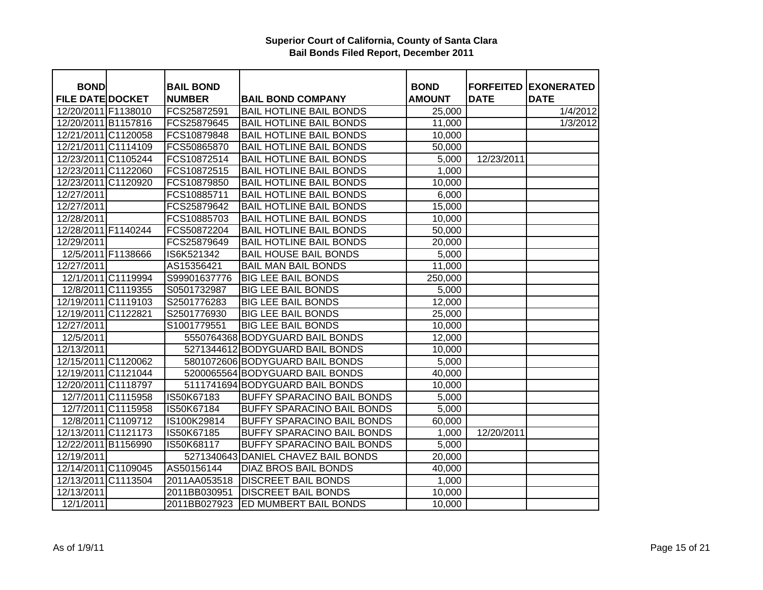| <b>BOND</b>             |                    | <b>BAIL BOND</b> |                                     | <b>BOND</b>   | <b>FORFEITED</b> | <b>EXONERATED</b> |
|-------------------------|--------------------|------------------|-------------------------------------|---------------|------------------|-------------------|
| <b>FILE DATE DOCKET</b> |                    | <b>NUMBER</b>    | <b>BAIL BOND COMPANY</b>            | <b>AMOUNT</b> | <b>DATE</b>      | <b>DATE</b>       |
| 12/20/2011 F1138010     |                    | FCS25872591      | <b>BAIL HOTLINE BAIL BONDS</b>      | 25,000        |                  | 1/4/2012          |
| 12/20/2011 B1157816     |                    | FCS25879645      | <b>BAIL HOTLINE BAIL BONDS</b>      | 11,000        |                  | 1/3/2012          |
| 12/21/2011 C1120058     |                    | FCS10879848      | <b>BAIL HOTLINE BAIL BONDS</b>      | 10,000        |                  |                   |
| 12/21/2011 C1114109     |                    | FCS50865870      | <b>BAIL HOTLINE BAIL BONDS</b>      | 50,000        |                  |                   |
| 12/23/2011 C1105244     |                    | FCS10872514      | <b>BAIL HOTLINE BAIL BONDS</b>      | 5,000         | 12/23/2011       |                   |
| 12/23/2011 C1122060     |                    | FCS10872515      | <b>BAIL HOTLINE BAIL BONDS</b>      | 1,000         |                  |                   |
| 12/23/2011 C1120920     |                    | FCS10879850      | <b>BAIL HOTLINE BAIL BONDS</b>      | 10,000        |                  |                   |
| 12/27/2011              |                    | FCS10885711      | <b>BAIL HOTLINE BAIL BONDS</b>      | 6,000         |                  |                   |
| 12/27/2011              |                    | FCS25879642      | <b>BAIL HOTLINE BAIL BONDS</b>      | 15,000        |                  |                   |
| 12/28/2011              |                    | FCS10885703      | <b>BAIL HOTLINE BAIL BONDS</b>      | 10,000        |                  |                   |
| 12/28/2011 F1140244     |                    | FCS50872204      | <b>BAIL HOTLINE BAIL BONDS</b>      | 50,000        |                  |                   |
| 12/29/2011              |                    | FCS25879649      | <b>BAIL HOTLINE BAIL BONDS</b>      | 20,000        |                  |                   |
|                         | 12/5/2011 F1138666 | IS6K521342       | <b>BAIL HOUSE BAIL BONDS</b>        | 5,000         |                  |                   |
| 12/27/2011              |                    | AS15356421       | <b>BAIL MAN BAIL BONDS</b>          | 11,000        |                  |                   |
|                         | 12/1/2011 C1119994 | S99901637776     | <b>BIG LEE BAIL BONDS</b>           | 250,000       |                  |                   |
|                         | 12/8/2011 C1119355 | S0501732987      | <b>BIG LEE BAIL BONDS</b>           | 5,000         |                  |                   |
| 12/19/2011 C1119103     |                    | S2501776283      | <b>BIG LEE BAIL BONDS</b>           | 12,000        |                  |                   |
| 12/19/2011 C1122821     |                    | S2501776930      | <b>BIG LEE BAIL BONDS</b>           | 25,000        |                  |                   |
| 12/27/2011              |                    | S1001779551      | <b>BIG LEE BAIL BONDS</b>           | 10,000        |                  |                   |
| 12/5/2011               |                    |                  | 5550764368 BODYGUARD BAIL BONDS     | 12,000        |                  |                   |
| 12/13/2011              |                    |                  | 5271344612 BODYGUARD BAIL BONDS     | 10,000        |                  |                   |
| 12/15/2011 C1120062     |                    |                  | 5801072606 BODYGUARD BAIL BONDS     | 5,000         |                  |                   |
| 12/19/2011 C1121044     |                    |                  | 5200065564 BODYGUARD BAIL BONDS     | 40,000        |                  |                   |
| 12/20/2011 C1118797     |                    |                  | 5111741694 BODYGUARD BAIL BONDS     | 10,000        |                  |                   |
|                         | 12/7/2011 C1115958 | IS50K67183       | BUFFY SPARACINO BAIL BONDS          | 5,000         |                  |                   |
|                         | 12/7/2011 C1115958 | IS50K67184       | BUFFY SPARACINO BAIL BONDS          | 5,000         |                  |                   |
|                         | 12/8/2011 C1109712 | IS100K29814      | BUFFY SPARACINO BAIL BONDS          | 60,000        |                  |                   |
| 12/13/2011 C1121173     |                    | IS50K67185       | <b>BUFFY SPARACINO BAIL BONDS</b>   | 1,000         | 12/20/2011       |                   |
| 12/22/2011 B1156990     |                    | IS50K68117       | <b>BUFFY SPARACINO BAIL BONDS</b>   | 5,000         |                  |                   |
| 12/19/2011              |                    |                  | 5271340643 DANIEL CHAVEZ BAIL BONDS | 20,000        |                  |                   |
| 12/14/2011 C1109045     |                    | AS50156144       | <b>DIAZ BROS BAIL BONDS</b>         | 40,000        |                  |                   |
| 12/13/2011 C1113504     |                    | 2011AA053518     | <b>DISCREET BAIL BONDS</b>          | 1,000         |                  |                   |
| 12/13/2011              |                    | 2011BB030951     | <b>DISCREET BAIL BONDS</b>          | 10,000        |                  |                   |
| 12/1/2011               |                    | 2011BB027923     | <b>ED MUMBERT BAIL BONDS</b>        | 10,000        |                  |                   |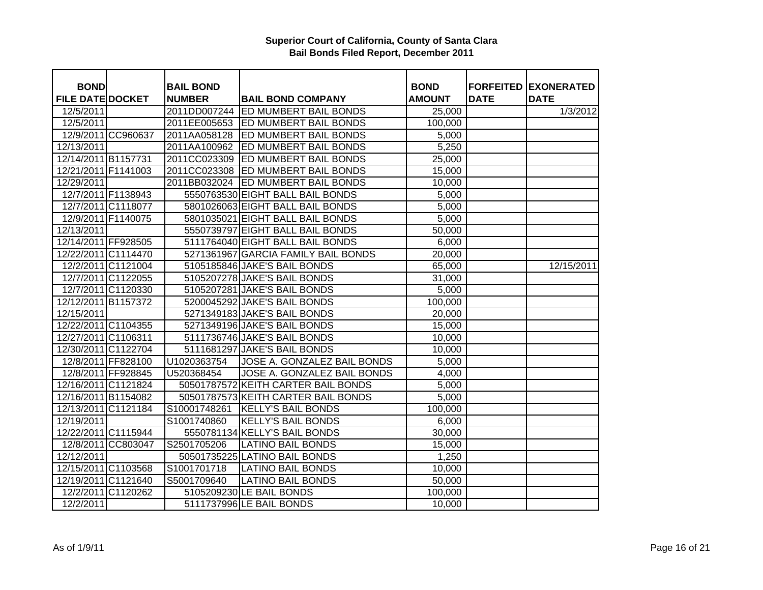| <b>BOND</b>             |                    | <b>BAIL BOND</b> |                                     | <b>BOND</b>   |             | <b>FORFEITED EXONERATED</b> |
|-------------------------|--------------------|------------------|-------------------------------------|---------------|-------------|-----------------------------|
| <b>FILE DATE DOCKET</b> |                    | <b>NUMBER</b>    | <b>BAIL BOND COMPANY</b>            | <b>AMOUNT</b> | <b>DATE</b> | <b>DATE</b>                 |
| 12/5/2011               |                    | 2011DD007244     | <b>ED MUMBERT BAIL BONDS</b>        | 25,000        |             | 1/3/2012                    |
| 12/5/2011               |                    |                  | 2011EE005653 ED MUMBERT BAIL BONDS  | 100,000       |             |                             |
|                         | 12/9/2011 CC960637 | 2011AA058128     | <b>ED MUMBERT BAIL BONDS</b>        | 5,000         |             |                             |
| 12/13/2011              |                    | 2011AA100962     | ED MUMBERT BAIL BONDS               | 5,250         |             |                             |
| 12/14/2011 B1157731     |                    | 2011CC023309     | <b>ED MUMBERT BAIL BONDS</b>        | 25,000        |             |                             |
| 12/21/2011 F1141003     |                    | 2011CC023308     | <b>ED MUMBERT BAIL BONDS</b>        | 15,000        |             |                             |
| 12/29/2011              |                    |                  | 2011BB032024 ED MUMBERT BAIL BONDS  | 10,000        |             |                             |
|                         | 12/7/2011 F1138943 |                  | 5550763530 EIGHT BALL BAIL BONDS    | 5,000         |             |                             |
|                         | 12/7/2011 C1118077 |                  | 5801026063 EIGHT BALL BAIL BONDS    | 5,000         |             |                             |
|                         | 12/9/2011 F1140075 |                  | 5801035021 EIGHT BALL BAIL BONDS    | 5,000         |             |                             |
| 12/13/2011              |                    |                  | 5550739797 EIGHT BALL BAIL BONDS    | 50,000        |             |                             |
| 12/14/2011 FF928505     |                    |                  | 5111764040 EIGHT BALL BAIL BONDS    | 6,000         |             |                             |
| 12/22/2011 C1114470     |                    |                  | 5271361967 GARCIA FAMILY BAIL BONDS | 20,000        |             |                             |
|                         | 12/2/2011 C1121004 |                  | 5105185846 JAKE'S BAIL BONDS        | 65,000        |             | 12/15/2011                  |
|                         | 12/7/2011 C1122055 |                  | 5105207278 JAKE'S BAIL BONDS        | 31,000        |             |                             |
|                         | 12/7/2011 C1120330 |                  | 5105207281 JAKE'S BAIL BONDS        | 5,000         |             |                             |
| 12/12/2011 B1157372     |                    |                  | 5200045292 JAKE'S BAIL BONDS        | 100,000       |             |                             |
| 12/15/2011              |                    |                  | 5271349183 JAKE'S BAIL BONDS        | 20,000        |             |                             |
| 12/22/2011 C1104355     |                    |                  | 5271349196 JAKE'S BAIL BONDS        | 15,000        |             |                             |
| 12/27/2011 C1106311     |                    |                  | 5111736746 JAKE'S BAIL BONDS        | 10,000        |             |                             |
| 12/30/2011 C1122704     |                    |                  | 5111681297 JAKE'S BAIL BONDS        | 10,000        |             |                             |
|                         | 12/8/2011 FF828100 | U1020363754      | JOSE A. GONZALEZ BAIL BONDS         | 5,000         |             |                             |
|                         | 12/8/2011 FF928845 | U520368454       | JOSE A. GONZALEZ BAIL BONDS         | 4,000         |             |                             |
| 12/16/2011 C1121824     |                    |                  | 50501787572 KEITH CARTER BAIL BONDS | 5,000         |             |                             |
| 12/16/2011 B1154082     |                    |                  | 50501787573 KEITH CARTER BAIL BONDS | 5,000         |             |                             |
| 12/13/2011 C1121184     |                    | S10001748261     | <b>KELLY'S BAIL BONDS</b>           | 100,000       |             |                             |
| 12/19/2011              |                    | S1001740860      | <b>KELLY'S BAIL BONDS</b>           | 6,000         |             |                             |
| 12/22/2011 C1115944     |                    |                  | 5550781134 KELLY'S BAIL BONDS       | 30,000        |             |                             |
|                         | 12/8/2011 CC803047 | S2501705206      | <b>LATINO BAIL BONDS</b>            | 15,000        |             |                             |
| 12/12/2011              |                    |                  | 50501735225 LATINO BAIL BONDS       | 1,250         |             |                             |
| 12/15/2011 C1103568     |                    | S1001701718      | <b>LATINO BAIL BONDS</b>            | 10,000        |             |                             |
| 12/19/2011 C1121640     |                    | S5001709640      | <b>LATINO BAIL BONDS</b>            | 50,000        |             |                             |
|                         | 12/2/2011 C1120262 |                  | 5105209230 LE BAIL BONDS            | 100,000       |             |                             |
| 12/2/2011               |                    |                  | 5111737996 LE BAIL BONDS            | 10,000        |             |                             |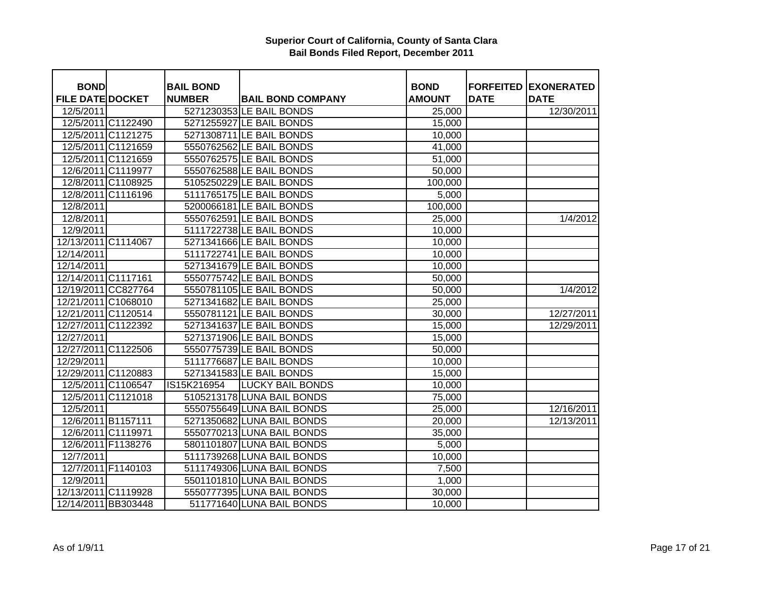| <b>BOND</b>             |                    | <b>BAIL BOND</b> |                            | <b>BOND</b>   |             | <b>FORFEITED EXONERATED</b> |
|-------------------------|--------------------|------------------|----------------------------|---------------|-------------|-----------------------------|
| <b>FILE DATE DOCKET</b> |                    | <b>NUMBER</b>    | <b>BAIL BOND COMPANY</b>   | <b>AMOUNT</b> | <b>DATE</b> | <b>DATE</b>                 |
| 12/5/2011               |                    |                  | 5271230353 LE BAIL BONDS   | 25,000        |             | 12/30/2011                  |
|                         | 12/5/2011 C1122490 |                  | 5271255927 LE BAIL BONDS   | 15,000        |             |                             |
|                         | 12/5/2011 C1121275 |                  | 5271308711 LE BAIL BONDS   | 10,000        |             |                             |
|                         | 12/5/2011 C1121659 |                  | 5550762562 LE BAIL BONDS   | 41,000        |             |                             |
|                         | 12/5/2011 C1121659 |                  | 5550762575 LE BAIL BONDS   | 51,000        |             |                             |
|                         | 12/6/2011 C1119977 |                  | 5550762588 LE BAIL BONDS   | 50,000        |             |                             |
|                         | 12/8/2011 C1108925 |                  | 5105250229 LE BAIL BONDS   | 100,000       |             |                             |
|                         | 12/8/2011 C1116196 |                  | 5111765175 LE BAIL BONDS   | 5,000         |             |                             |
| 12/8/2011               |                    |                  | 5200066181 LE BAIL BONDS   | 100,000       |             |                             |
| 12/8/2011               |                    |                  | 5550762591 LE BAIL BONDS   | 25,000        |             | 1/4/2012                    |
| 12/9/2011               |                    |                  | 5111722738 LE BAIL BONDS   | 10,000        |             |                             |
| 12/13/2011 C1114067     |                    |                  | 5271341666 LE BAIL BONDS   | 10,000        |             |                             |
| 12/14/2011              |                    |                  | 5111722741 LE BAIL BONDS   | 10,000        |             |                             |
| 12/14/2011              |                    |                  | 5271341679 LE BAIL BONDS   | 10,000        |             |                             |
| 12/14/2011 C1117161     |                    |                  | 5550775742 LE BAIL BONDS   | 50,000        |             |                             |
| 12/19/2011 CC827764     |                    |                  | 5550781105 LE BAIL BONDS   | 50,000        |             | 1/4/2012                    |
| 12/21/2011 C1068010     |                    |                  | 5271341682 LE BAIL BONDS   | 25,000        |             |                             |
| 12/21/2011 C1120514     |                    |                  | 5550781121 LE BAIL BONDS   | 30,000        |             | 12/27/2011                  |
| 12/27/2011 C1122392     |                    |                  | 5271341637 LE BAIL BONDS   | 15,000        |             | 12/29/2011                  |
| 12/27/2011              |                    |                  | 5271371906 LE BAIL BONDS   | 15,000        |             |                             |
| 12/27/2011 C1122506     |                    |                  | 5550775739 LE BAIL BONDS   | 50,000        |             |                             |
| 12/29/2011              |                    |                  | 5111776687 LE BAIL BONDS   | 10,000        |             |                             |
| 12/29/2011 C1120883     |                    |                  | 5271341583 LE BAIL BONDS   | 15,000        |             |                             |
|                         | 12/5/2011 C1106547 | IS15K216954      | <b>LUCKY BAIL BONDS</b>    | 10,000        |             |                             |
|                         | 12/5/2011 C1121018 |                  | 5105213178 LUNA BAIL BONDS | 75,000        |             |                             |
| 12/5/2011               |                    |                  | 5550755649 LUNA BAIL BONDS | 25,000        |             | 12/16/2011                  |
|                         | 12/6/2011 B1157111 |                  | 5271350682 LUNA BAIL BONDS | 20,000        |             | 12/13/2011                  |
|                         | 12/6/2011 C1119971 |                  | 5550770213 LUNA BAIL BONDS | 35,000        |             |                             |
|                         | 12/6/2011 F1138276 |                  | 5801101807 LUNA BAIL BONDS | 5,000         |             |                             |
| 12/7/2011               |                    |                  | 5111739268 LUNA BAIL BONDS | 10,000        |             |                             |
|                         | 12/7/2011 F1140103 |                  | 5111749306 LUNA BAIL BONDS | 7,500         |             |                             |
| 12/9/2011               |                    |                  | 5501101810 LUNA BAIL BONDS | 1,000         |             |                             |
| 12/13/2011 C1119928     |                    |                  | 5550777395 LUNA BAIL BONDS | 30,000        |             |                             |
| 12/14/2011 BB303448     |                    |                  | 511771640 LUNA BAIL BONDS  | 10,000        |             |                             |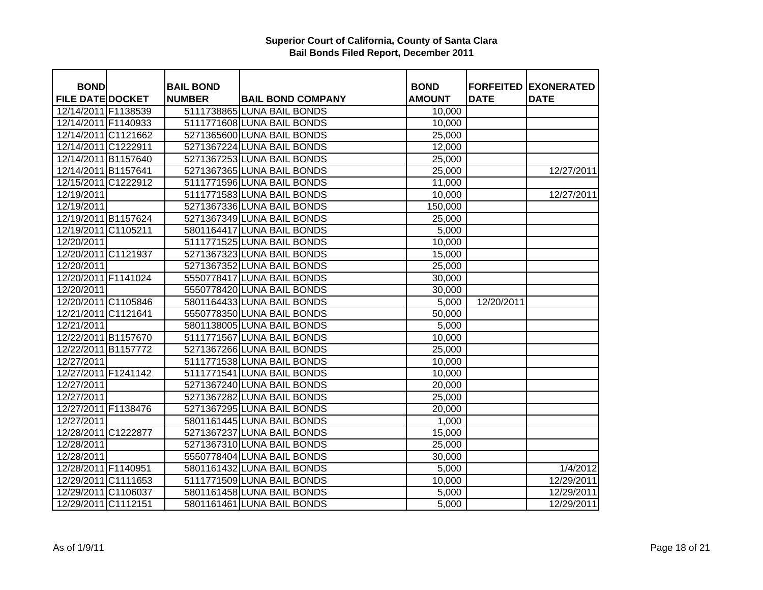| <b>BOND</b>             | <b>BAIL BOND</b> |                            | <b>BOND</b>   |             | <b>FORFEITED EXONERATED</b> |
|-------------------------|------------------|----------------------------|---------------|-------------|-----------------------------|
| <b>FILE DATE DOCKET</b> | <b>NUMBER</b>    | <b>BAIL BOND COMPANY</b>   | <b>AMOUNT</b> | <b>DATE</b> | <b>DATE</b>                 |
| 12/14/2011 F1138539     |                  | 5111738865 LUNA BAIL BONDS | 10,000        |             |                             |
| 12/14/2011 F1140933     |                  | 5111771608 LUNA BAIL BONDS | 10,000        |             |                             |
| 12/14/2011 C1121662     |                  | 5271365600 LUNA BAIL BONDS | 25,000        |             |                             |
| 12/14/2011 C1222911     |                  | 5271367224 LUNA BAIL BONDS | 12,000        |             |                             |
| 12/14/2011 B1157640     |                  | 5271367253 LUNA BAIL BONDS | 25,000        |             |                             |
| 12/14/2011 B1157641     |                  | 5271367365 LUNA BAIL BONDS | 25,000        |             | 12/27/2011                  |
| 12/15/2011 C1222912     |                  | 5111771596 LUNA BAIL BONDS | 11,000        |             |                             |
| 12/19/2011              |                  | 5111771583 LUNA BAIL BONDS | 10,000        |             | 12/27/2011                  |
| 12/19/2011              |                  | 5271367336 LUNA BAIL BONDS | 150,000       |             |                             |
| 12/19/2011 B1157624     |                  | 5271367349 LUNA BAIL BONDS | 25,000        |             |                             |
| 12/19/2011 C1105211     |                  | 5801164417 LUNA BAIL BONDS | 5,000         |             |                             |
| 12/20/2011              |                  | 5111771525 LUNA BAIL BONDS | 10,000        |             |                             |
| 12/20/2011 C1121937     |                  | 5271367323 LUNA BAIL BONDS | 15,000        |             |                             |
| 12/20/2011              |                  | 5271367352 LUNA BAIL BONDS | 25,000        |             |                             |
| 12/20/2011 F1141024     |                  | 5550778417 LUNA BAIL BONDS | 30,000        |             |                             |
| 12/20/2011              |                  | 5550778420 LUNA BAIL BONDS | 30,000        |             |                             |
| 12/20/2011 C1105846     |                  | 5801164433 LUNA BAIL BONDS | 5,000         | 12/20/2011  |                             |
| 12/21/2011 C1121641     |                  | 5550778350 LUNA BAIL BONDS | 50,000        |             |                             |
| 12/21/2011              |                  | 5801138005 LUNA BAIL BONDS | 5,000         |             |                             |
| 12/22/2011 B1157670     |                  | 5111771567 LUNA BAIL BONDS | 10,000        |             |                             |
| 12/22/2011 B1157772     |                  | 5271367266 LUNA BAIL BONDS | 25,000        |             |                             |
| 12/27/2011              |                  | 5111771538 LUNA BAIL BONDS | 10,000        |             |                             |
| 12/27/2011 F1241142     |                  | 5111771541 LUNA BAIL BONDS | 10,000        |             |                             |
| 12/27/2011              |                  | 5271367240 LUNA BAIL BONDS | 20,000        |             |                             |
| 12/27/2011              |                  | 5271367282 LUNA BAIL BONDS | 25,000        |             |                             |
| 12/27/2011 F1138476     |                  | 5271367295 LUNA BAIL BONDS | 20,000        |             |                             |
| 12/27/2011              |                  | 5801161445 LUNA BAIL BONDS | 1,000         |             |                             |
| 12/28/2011 C1222877     |                  | 5271367237 LUNA BAIL BONDS | 15,000        |             |                             |
| 12/28/2011              |                  | 5271367310 LUNA BAIL BONDS | 25,000        |             |                             |
| 12/28/2011              |                  | 5550778404 LUNA BAIL BONDS | 30,000        |             |                             |
| 12/28/2011 F1140951     |                  | 5801161432 LUNA BAIL BONDS | 5,000         |             | 1/4/2012                    |
| 12/29/2011 C1111653     |                  | 5111771509 LUNA BAIL BONDS | 10,000        |             | 12/29/2011                  |
| 12/29/2011 C1106037     |                  | 5801161458 LUNA BAIL BONDS | 5,000         |             | 12/29/2011                  |
| 12/29/2011 C1112151     |                  | 5801161461 LUNA BAIL BONDS | 5,000         |             | 12/29/2011                  |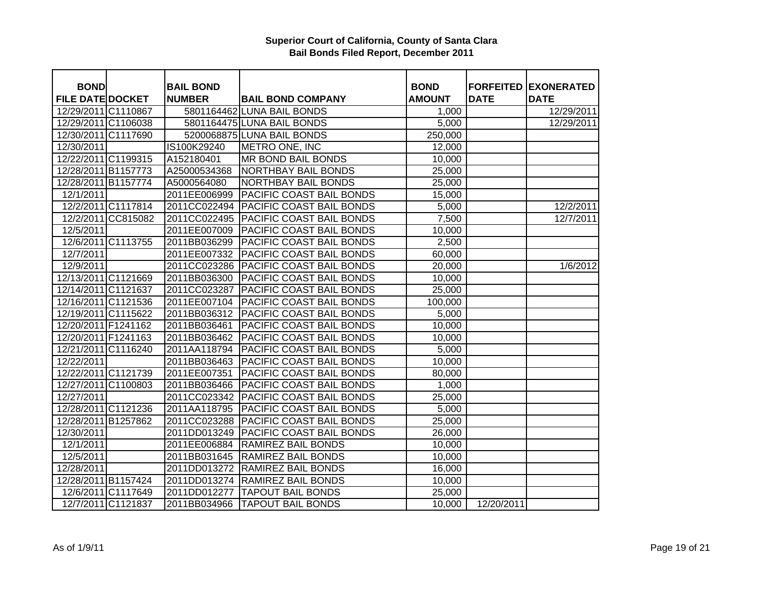| <b>FORFEITED EXONERATED</b><br><b>FILE DATE DOCKET</b><br><b>NUMBER</b><br><b>BAIL BOND COMPANY</b><br><b>AMOUNT</b><br><b>DATE</b><br><b>DATE</b><br>5801164462 LUNA BAIL BONDS<br>12/29/2011<br>12/29/2011 C1110867<br>1,000<br>12/29/2011 C1106038<br>5801164475 LUNA BAIL BONDS<br>5,000<br>12/29/2011<br>5200068875 LUNA BAIL BONDS<br>12/30/2011 C1117690<br>250,000<br>12/30/2011<br>IS100K29240<br>METRO ONE, INC<br>12,000<br>12/22/2011 C1199315<br>A152180401<br>MR BOND BAIL BONDS<br>10,000<br>12/28/2011 B1157773<br>A25000534368<br><b>NORTHBAY BAIL BONDS</b><br>25,000<br>12/28/2011 B1157774<br><b>NORTHBAY BAIL BONDS</b><br>A5000564080<br>25,000<br>12/1/2011<br>2011EE006999<br>PACIFIC COAST BAIL BONDS<br>15,000<br>12/2/2011 C1117814<br>2011CC022494<br>PACIFIC COAST BAIL BONDS<br>12/2/2011<br>5,000<br>2011CC022495<br>12/2/2011 CC815082<br>PACIFIC COAST BAIL BONDS<br>7,500<br>12/7/2011<br>12/5/2011<br>2011EE007009<br>PACIFIC COAST BAIL BONDS<br>10,000<br>12/6/2011 C1113755<br>2011BB036299<br>PACIFIC COAST BAIL BONDS<br>2,500<br>12/7/2011<br>2011EE007332<br>PACIFIC COAST BAIL BONDS<br>60,000<br>2011CC023286<br><b>PACIFIC COAST BAIL BONDS</b><br>1/6/2012<br>12/9/2011<br>20,000<br>12/13/2011 C1121669<br>2011BB036300<br>PACIFIC COAST BAIL BONDS<br>10,000<br>12/14/2011 C1121637<br>2011CC023287<br>PACIFIC COAST BAIL BONDS<br>25,000<br>12/16/2011 C1121536<br>2011EE007104<br>PACIFIC COAST BAIL BONDS<br>100,000<br>PACIFIC COAST BAIL BONDS<br>12/19/2011 C1115622<br>2011BB036312<br>5,000<br>12/20/2011 F1241162<br>2011BB036461<br>PACIFIC COAST BAIL BONDS<br>10,000<br>12/20/2011 F1241163<br>2011BB036462<br>PACIFIC COAST BAIL BONDS<br>10,000<br>PACIFIC COAST BAIL BONDS<br>12/21/2011 C1116240<br>2011AA118794<br>5,000<br>PACIFIC COAST BAIL BONDS<br>12/22/2011<br>2011BB036463<br>10,000<br>12/22/2011 C1121739<br>2011EE007351<br>PACIFIC COAST BAIL BONDS<br>80,000<br>PACIFIC COAST BAIL BONDS<br>12/27/2011 C1100803<br>2011BB036466<br>1,000<br>12/27/2011<br>2011CC023342<br>PACIFIC COAST BAIL BONDS<br>25,000<br>12/28/2011 C1121236<br>PACIFIC COAST BAIL BONDS<br>2011AA118795<br>5,000<br>PACIFIC COAST BAIL BONDS<br>12/28/2011 B1257862<br>2011CC023288<br>$\overline{2}5,000$<br>12/30/2011<br>2011DD013249<br>PACIFIC COAST BAIL BONDS<br>26,000<br>RAMIREZ BAIL BONDS<br>12/1/2011<br>2011EE006884<br>10,000<br>12/5/2011<br>2011BB031645<br>RAMIREZ BAIL BONDS<br>10,000<br>12/28/2011<br>2011DD013272<br><b>RAMIREZ BAIL BONDS</b><br>16,000<br>12/28/2011 B1157424<br>2011DD013274<br><b>RAMIREZ BAIL BONDS</b><br>10,000<br>12/6/2011 C1117649<br>2011DD012277<br><b>TAPOUT BAIL BONDS</b><br>25,000<br>12/7/2011 C1121837 | <b>BOND</b> | <b>BAIL BOND</b> |                          | <b>BOND</b> |            |  |
|---------------------------------------------------------------------------------------------------------------------------------------------------------------------------------------------------------------------------------------------------------------------------------------------------------------------------------------------------------------------------------------------------------------------------------------------------------------------------------------------------------------------------------------------------------------------------------------------------------------------------------------------------------------------------------------------------------------------------------------------------------------------------------------------------------------------------------------------------------------------------------------------------------------------------------------------------------------------------------------------------------------------------------------------------------------------------------------------------------------------------------------------------------------------------------------------------------------------------------------------------------------------------------------------------------------------------------------------------------------------------------------------------------------------------------------------------------------------------------------------------------------------------------------------------------------------------------------------------------------------------------------------------------------------------------------------------------------------------------------------------------------------------------------------------------------------------------------------------------------------------------------------------------------------------------------------------------------------------------------------------------------------------------------------------------------------------------------------------------------------------------------------------------------------------------------------------------------------------------------------------------------------------------------------------------------------------------------------------------------------------------------------------------------------------------------------------------------------------------------------------------------------------------------------------------------------------------------------------------------------------------------------------------------------------------------------------------------------|-------------|------------------|--------------------------|-------------|------------|--|
|                                                                                                                                                                                                                                                                                                                                                                                                                                                                                                                                                                                                                                                                                                                                                                                                                                                                                                                                                                                                                                                                                                                                                                                                                                                                                                                                                                                                                                                                                                                                                                                                                                                                                                                                                                                                                                                                                                                                                                                                                                                                                                                                                                                                                                                                                                                                                                                                                                                                                                                                                                                                                                                                                                                     |             |                  |                          |             |            |  |
|                                                                                                                                                                                                                                                                                                                                                                                                                                                                                                                                                                                                                                                                                                                                                                                                                                                                                                                                                                                                                                                                                                                                                                                                                                                                                                                                                                                                                                                                                                                                                                                                                                                                                                                                                                                                                                                                                                                                                                                                                                                                                                                                                                                                                                                                                                                                                                                                                                                                                                                                                                                                                                                                                                                     |             |                  |                          |             |            |  |
|                                                                                                                                                                                                                                                                                                                                                                                                                                                                                                                                                                                                                                                                                                                                                                                                                                                                                                                                                                                                                                                                                                                                                                                                                                                                                                                                                                                                                                                                                                                                                                                                                                                                                                                                                                                                                                                                                                                                                                                                                                                                                                                                                                                                                                                                                                                                                                                                                                                                                                                                                                                                                                                                                                                     |             |                  |                          |             |            |  |
|                                                                                                                                                                                                                                                                                                                                                                                                                                                                                                                                                                                                                                                                                                                                                                                                                                                                                                                                                                                                                                                                                                                                                                                                                                                                                                                                                                                                                                                                                                                                                                                                                                                                                                                                                                                                                                                                                                                                                                                                                                                                                                                                                                                                                                                                                                                                                                                                                                                                                                                                                                                                                                                                                                                     |             |                  |                          |             |            |  |
|                                                                                                                                                                                                                                                                                                                                                                                                                                                                                                                                                                                                                                                                                                                                                                                                                                                                                                                                                                                                                                                                                                                                                                                                                                                                                                                                                                                                                                                                                                                                                                                                                                                                                                                                                                                                                                                                                                                                                                                                                                                                                                                                                                                                                                                                                                                                                                                                                                                                                                                                                                                                                                                                                                                     |             |                  |                          |             |            |  |
|                                                                                                                                                                                                                                                                                                                                                                                                                                                                                                                                                                                                                                                                                                                                                                                                                                                                                                                                                                                                                                                                                                                                                                                                                                                                                                                                                                                                                                                                                                                                                                                                                                                                                                                                                                                                                                                                                                                                                                                                                                                                                                                                                                                                                                                                                                                                                                                                                                                                                                                                                                                                                                                                                                                     |             |                  |                          |             |            |  |
|                                                                                                                                                                                                                                                                                                                                                                                                                                                                                                                                                                                                                                                                                                                                                                                                                                                                                                                                                                                                                                                                                                                                                                                                                                                                                                                                                                                                                                                                                                                                                                                                                                                                                                                                                                                                                                                                                                                                                                                                                                                                                                                                                                                                                                                                                                                                                                                                                                                                                                                                                                                                                                                                                                                     |             |                  |                          |             |            |  |
|                                                                                                                                                                                                                                                                                                                                                                                                                                                                                                                                                                                                                                                                                                                                                                                                                                                                                                                                                                                                                                                                                                                                                                                                                                                                                                                                                                                                                                                                                                                                                                                                                                                                                                                                                                                                                                                                                                                                                                                                                                                                                                                                                                                                                                                                                                                                                                                                                                                                                                                                                                                                                                                                                                                     |             |                  |                          |             |            |  |
|                                                                                                                                                                                                                                                                                                                                                                                                                                                                                                                                                                                                                                                                                                                                                                                                                                                                                                                                                                                                                                                                                                                                                                                                                                                                                                                                                                                                                                                                                                                                                                                                                                                                                                                                                                                                                                                                                                                                                                                                                                                                                                                                                                                                                                                                                                                                                                                                                                                                                                                                                                                                                                                                                                                     |             |                  |                          |             |            |  |
|                                                                                                                                                                                                                                                                                                                                                                                                                                                                                                                                                                                                                                                                                                                                                                                                                                                                                                                                                                                                                                                                                                                                                                                                                                                                                                                                                                                                                                                                                                                                                                                                                                                                                                                                                                                                                                                                                                                                                                                                                                                                                                                                                                                                                                                                                                                                                                                                                                                                                                                                                                                                                                                                                                                     |             |                  |                          |             |            |  |
|                                                                                                                                                                                                                                                                                                                                                                                                                                                                                                                                                                                                                                                                                                                                                                                                                                                                                                                                                                                                                                                                                                                                                                                                                                                                                                                                                                                                                                                                                                                                                                                                                                                                                                                                                                                                                                                                                                                                                                                                                                                                                                                                                                                                                                                                                                                                                                                                                                                                                                                                                                                                                                                                                                                     |             |                  |                          |             |            |  |
|                                                                                                                                                                                                                                                                                                                                                                                                                                                                                                                                                                                                                                                                                                                                                                                                                                                                                                                                                                                                                                                                                                                                                                                                                                                                                                                                                                                                                                                                                                                                                                                                                                                                                                                                                                                                                                                                                                                                                                                                                                                                                                                                                                                                                                                                                                                                                                                                                                                                                                                                                                                                                                                                                                                     |             |                  |                          |             |            |  |
|                                                                                                                                                                                                                                                                                                                                                                                                                                                                                                                                                                                                                                                                                                                                                                                                                                                                                                                                                                                                                                                                                                                                                                                                                                                                                                                                                                                                                                                                                                                                                                                                                                                                                                                                                                                                                                                                                                                                                                                                                                                                                                                                                                                                                                                                                                                                                                                                                                                                                                                                                                                                                                                                                                                     |             |                  |                          |             |            |  |
|                                                                                                                                                                                                                                                                                                                                                                                                                                                                                                                                                                                                                                                                                                                                                                                                                                                                                                                                                                                                                                                                                                                                                                                                                                                                                                                                                                                                                                                                                                                                                                                                                                                                                                                                                                                                                                                                                                                                                                                                                                                                                                                                                                                                                                                                                                                                                                                                                                                                                                                                                                                                                                                                                                                     |             |                  |                          |             |            |  |
|                                                                                                                                                                                                                                                                                                                                                                                                                                                                                                                                                                                                                                                                                                                                                                                                                                                                                                                                                                                                                                                                                                                                                                                                                                                                                                                                                                                                                                                                                                                                                                                                                                                                                                                                                                                                                                                                                                                                                                                                                                                                                                                                                                                                                                                                                                                                                                                                                                                                                                                                                                                                                                                                                                                     |             |                  |                          |             |            |  |
|                                                                                                                                                                                                                                                                                                                                                                                                                                                                                                                                                                                                                                                                                                                                                                                                                                                                                                                                                                                                                                                                                                                                                                                                                                                                                                                                                                                                                                                                                                                                                                                                                                                                                                                                                                                                                                                                                                                                                                                                                                                                                                                                                                                                                                                                                                                                                                                                                                                                                                                                                                                                                                                                                                                     |             |                  |                          |             |            |  |
|                                                                                                                                                                                                                                                                                                                                                                                                                                                                                                                                                                                                                                                                                                                                                                                                                                                                                                                                                                                                                                                                                                                                                                                                                                                                                                                                                                                                                                                                                                                                                                                                                                                                                                                                                                                                                                                                                                                                                                                                                                                                                                                                                                                                                                                                                                                                                                                                                                                                                                                                                                                                                                                                                                                     |             |                  |                          |             |            |  |
|                                                                                                                                                                                                                                                                                                                                                                                                                                                                                                                                                                                                                                                                                                                                                                                                                                                                                                                                                                                                                                                                                                                                                                                                                                                                                                                                                                                                                                                                                                                                                                                                                                                                                                                                                                                                                                                                                                                                                                                                                                                                                                                                                                                                                                                                                                                                                                                                                                                                                                                                                                                                                                                                                                                     |             |                  |                          |             |            |  |
|                                                                                                                                                                                                                                                                                                                                                                                                                                                                                                                                                                                                                                                                                                                                                                                                                                                                                                                                                                                                                                                                                                                                                                                                                                                                                                                                                                                                                                                                                                                                                                                                                                                                                                                                                                                                                                                                                                                                                                                                                                                                                                                                                                                                                                                                                                                                                                                                                                                                                                                                                                                                                                                                                                                     |             |                  |                          |             |            |  |
|                                                                                                                                                                                                                                                                                                                                                                                                                                                                                                                                                                                                                                                                                                                                                                                                                                                                                                                                                                                                                                                                                                                                                                                                                                                                                                                                                                                                                                                                                                                                                                                                                                                                                                                                                                                                                                                                                                                                                                                                                                                                                                                                                                                                                                                                                                                                                                                                                                                                                                                                                                                                                                                                                                                     |             |                  |                          |             |            |  |
|                                                                                                                                                                                                                                                                                                                                                                                                                                                                                                                                                                                                                                                                                                                                                                                                                                                                                                                                                                                                                                                                                                                                                                                                                                                                                                                                                                                                                                                                                                                                                                                                                                                                                                                                                                                                                                                                                                                                                                                                                                                                                                                                                                                                                                                                                                                                                                                                                                                                                                                                                                                                                                                                                                                     |             |                  |                          |             |            |  |
|                                                                                                                                                                                                                                                                                                                                                                                                                                                                                                                                                                                                                                                                                                                                                                                                                                                                                                                                                                                                                                                                                                                                                                                                                                                                                                                                                                                                                                                                                                                                                                                                                                                                                                                                                                                                                                                                                                                                                                                                                                                                                                                                                                                                                                                                                                                                                                                                                                                                                                                                                                                                                                                                                                                     |             |                  |                          |             |            |  |
|                                                                                                                                                                                                                                                                                                                                                                                                                                                                                                                                                                                                                                                                                                                                                                                                                                                                                                                                                                                                                                                                                                                                                                                                                                                                                                                                                                                                                                                                                                                                                                                                                                                                                                                                                                                                                                                                                                                                                                                                                                                                                                                                                                                                                                                                                                                                                                                                                                                                                                                                                                                                                                                                                                                     |             |                  |                          |             |            |  |
|                                                                                                                                                                                                                                                                                                                                                                                                                                                                                                                                                                                                                                                                                                                                                                                                                                                                                                                                                                                                                                                                                                                                                                                                                                                                                                                                                                                                                                                                                                                                                                                                                                                                                                                                                                                                                                                                                                                                                                                                                                                                                                                                                                                                                                                                                                                                                                                                                                                                                                                                                                                                                                                                                                                     |             |                  |                          |             |            |  |
|                                                                                                                                                                                                                                                                                                                                                                                                                                                                                                                                                                                                                                                                                                                                                                                                                                                                                                                                                                                                                                                                                                                                                                                                                                                                                                                                                                                                                                                                                                                                                                                                                                                                                                                                                                                                                                                                                                                                                                                                                                                                                                                                                                                                                                                                                                                                                                                                                                                                                                                                                                                                                                                                                                                     |             |                  |                          |             |            |  |
|                                                                                                                                                                                                                                                                                                                                                                                                                                                                                                                                                                                                                                                                                                                                                                                                                                                                                                                                                                                                                                                                                                                                                                                                                                                                                                                                                                                                                                                                                                                                                                                                                                                                                                                                                                                                                                                                                                                                                                                                                                                                                                                                                                                                                                                                                                                                                                                                                                                                                                                                                                                                                                                                                                                     |             |                  |                          |             |            |  |
|                                                                                                                                                                                                                                                                                                                                                                                                                                                                                                                                                                                                                                                                                                                                                                                                                                                                                                                                                                                                                                                                                                                                                                                                                                                                                                                                                                                                                                                                                                                                                                                                                                                                                                                                                                                                                                                                                                                                                                                                                                                                                                                                                                                                                                                                                                                                                                                                                                                                                                                                                                                                                                                                                                                     |             |                  |                          |             |            |  |
|                                                                                                                                                                                                                                                                                                                                                                                                                                                                                                                                                                                                                                                                                                                                                                                                                                                                                                                                                                                                                                                                                                                                                                                                                                                                                                                                                                                                                                                                                                                                                                                                                                                                                                                                                                                                                                                                                                                                                                                                                                                                                                                                                                                                                                                                                                                                                                                                                                                                                                                                                                                                                                                                                                                     |             |                  |                          |             |            |  |
|                                                                                                                                                                                                                                                                                                                                                                                                                                                                                                                                                                                                                                                                                                                                                                                                                                                                                                                                                                                                                                                                                                                                                                                                                                                                                                                                                                                                                                                                                                                                                                                                                                                                                                                                                                                                                                                                                                                                                                                                                                                                                                                                                                                                                                                                                                                                                                                                                                                                                                                                                                                                                                                                                                                     |             |                  |                          |             |            |  |
|                                                                                                                                                                                                                                                                                                                                                                                                                                                                                                                                                                                                                                                                                                                                                                                                                                                                                                                                                                                                                                                                                                                                                                                                                                                                                                                                                                                                                                                                                                                                                                                                                                                                                                                                                                                                                                                                                                                                                                                                                                                                                                                                                                                                                                                                                                                                                                                                                                                                                                                                                                                                                                                                                                                     |             |                  |                          |             |            |  |
|                                                                                                                                                                                                                                                                                                                                                                                                                                                                                                                                                                                                                                                                                                                                                                                                                                                                                                                                                                                                                                                                                                                                                                                                                                                                                                                                                                                                                                                                                                                                                                                                                                                                                                                                                                                                                                                                                                                                                                                                                                                                                                                                                                                                                                                                                                                                                                                                                                                                                                                                                                                                                                                                                                                     |             |                  |                          |             |            |  |
|                                                                                                                                                                                                                                                                                                                                                                                                                                                                                                                                                                                                                                                                                                                                                                                                                                                                                                                                                                                                                                                                                                                                                                                                                                                                                                                                                                                                                                                                                                                                                                                                                                                                                                                                                                                                                                                                                                                                                                                                                                                                                                                                                                                                                                                                                                                                                                                                                                                                                                                                                                                                                                                                                                                     |             |                  |                          |             |            |  |
|                                                                                                                                                                                                                                                                                                                                                                                                                                                                                                                                                                                                                                                                                                                                                                                                                                                                                                                                                                                                                                                                                                                                                                                                                                                                                                                                                                                                                                                                                                                                                                                                                                                                                                                                                                                                                                                                                                                                                                                                                                                                                                                                                                                                                                                                                                                                                                                                                                                                                                                                                                                                                                                                                                                     |             |                  |                          |             |            |  |
|                                                                                                                                                                                                                                                                                                                                                                                                                                                                                                                                                                                                                                                                                                                                                                                                                                                                                                                                                                                                                                                                                                                                                                                                                                                                                                                                                                                                                                                                                                                                                                                                                                                                                                                                                                                                                                                                                                                                                                                                                                                                                                                                                                                                                                                                                                                                                                                                                                                                                                                                                                                                                                                                                                                     |             |                  |                          |             |            |  |
|                                                                                                                                                                                                                                                                                                                                                                                                                                                                                                                                                                                                                                                                                                                                                                                                                                                                                                                                                                                                                                                                                                                                                                                                                                                                                                                                                                                                                                                                                                                                                                                                                                                                                                                                                                                                                                                                                                                                                                                                                                                                                                                                                                                                                                                                                                                                                                                                                                                                                                                                                                                                                                                                                                                     |             |                  |                          |             |            |  |
|                                                                                                                                                                                                                                                                                                                                                                                                                                                                                                                                                                                                                                                                                                                                                                                                                                                                                                                                                                                                                                                                                                                                                                                                                                                                                                                                                                                                                                                                                                                                                                                                                                                                                                                                                                                                                                                                                                                                                                                                                                                                                                                                                                                                                                                                                                                                                                                                                                                                                                                                                                                                                                                                                                                     |             | 2011BB034966     | <b>TAPOUT BAIL BONDS</b> | 10,000      | 12/20/2011 |  |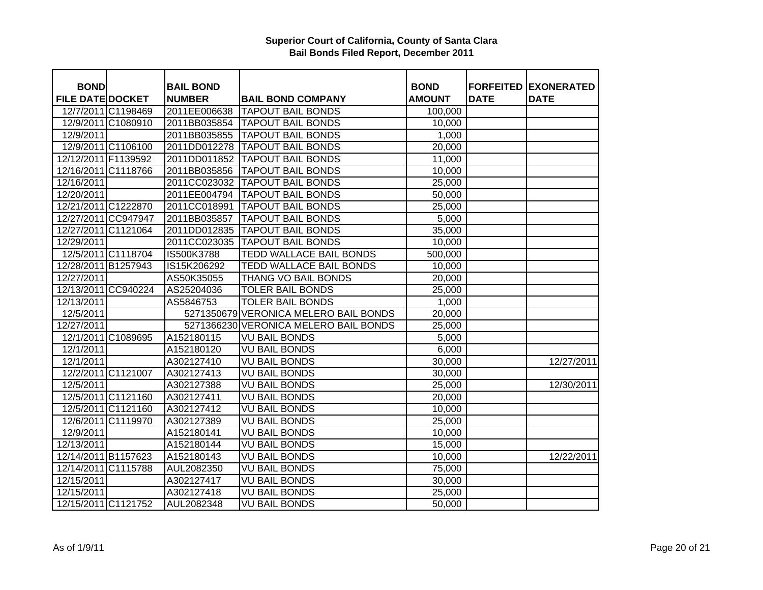| <b>BOND</b>             |                    | <b>BAIL BOND</b> |                                       | <b>BOND</b>   |             | <b>FORFEITED EXONERATED</b> |
|-------------------------|--------------------|------------------|---------------------------------------|---------------|-------------|-----------------------------|
| <b>FILE DATE DOCKET</b> |                    | <b>NUMBER</b>    | <b>BAIL BOND COMPANY</b>              | <b>AMOUNT</b> | <b>DATE</b> | <b>DATE</b>                 |
|                         | 12/7/2011 C1198469 |                  | 2011EE006638 TAPOUT BAIL BONDS        | 100,000       |             |                             |
|                         | 12/9/2011 C1080910 |                  | 2011BB035854   TAPOUT BAIL BONDS      | 10,000        |             |                             |
| 12/9/2011               |                    | 2011BB035855     | <b>TAPOUT BAIL BONDS</b>              | 1,000         |             |                             |
|                         | 12/9/2011 C1106100 |                  | 2011DD012278 TAPOUT BAIL BONDS        | 20,000        |             |                             |
| 12/12/2011 F1139592     |                    |                  | 2011DD011852 TAPOUT BAIL BONDS        | 11,000        |             |                             |
| 12/16/2011 C1118766     |                    |                  | 2011BB035856   TAPOUT BAIL BONDS      | 10,000        |             |                             |
| 12/16/2011              |                    |                  | 2011CC023032 TAPOUT BAIL BONDS        | 25,000        |             |                             |
| 12/20/2011              |                    |                  | 2011EE004794   TAPOUT BAIL BONDS      | 50,000        |             |                             |
| 12/21/2011 C1222870     |                    | 2011CC018991     | <b>TAPOUT BAIL BONDS</b>              | 25,000        |             |                             |
| 12/27/2011 CC947947     |                    | 2011BB035857     | <b>TAPOUT BAIL BONDS</b>              | 5,000         |             |                             |
| 12/27/2011 C1121064     |                    | 2011DD012835     | <b>TAPOUT BAIL BONDS</b>              | 35,000        |             |                             |
| 12/29/2011              |                    | 2011CC023035     | <b>TAPOUT BAIL BONDS</b>              | 10,000        |             |                             |
|                         | 12/5/2011 C1118704 | IS500K3788       | TEDD WALLACE BAIL BONDS               | 500,000       |             |                             |
| 12/28/2011 B1257943     |                    | IS15K206292      | TEDD WALLACE BAIL BONDS               | 10,000        |             |                             |
| 12/27/2011              |                    | AS50K35055       | THANG VO BAIL BONDS                   | 20,000        |             |                             |
| 12/13/2011 CC940224     |                    | AS25204036       | <b>TOLER BAIL BONDS</b>               | 25,000        |             |                             |
| 12/13/2011              |                    | AS5846753        | <b>TOLER BAIL BONDS</b>               | 1,000         |             |                             |
| 12/5/2011               |                    |                  | 5271350679 VERONICA MELERO BAIL BONDS | 20,000        |             |                             |
| 12/27/2011              |                    |                  | 5271366230 VERONICA MELERO BAIL BONDS | 25,000        |             |                             |
|                         | 12/1/2011 C1089695 | A152180115       | <b>VU BAIL BONDS</b>                  | 5,000         |             |                             |
| 12/1/2011               |                    | A152180120       | <b>VU BAIL BONDS</b>                  | 6,000         |             |                             |
| 12/1/2011               |                    | A302127410       | <b>VU BAIL BONDS</b>                  | 30,000        |             | 12/27/2011                  |
|                         | 12/2/2011 C1121007 | A302127413       | <b>VU BAIL BONDS</b>                  | 30,000        |             |                             |
| 12/5/2011               |                    | A302127388       | <b>VU BAIL BONDS</b>                  | 25,000        |             | 12/30/2011                  |
|                         | 12/5/2011 C1121160 | A302127411       | <b>VU BAIL BONDS</b>                  | 20,000        |             |                             |
|                         | 12/5/2011 C1121160 | A302127412       | <b>VU BAIL BONDS</b>                  | 10,000        |             |                             |
|                         | 12/6/2011 C1119970 | A302127389       | <b>VU BAIL BONDS</b>                  | 25,000        |             |                             |
| 12/9/2011               |                    | A152180141       | <b>VU BAIL BONDS</b>                  | 10,000        |             |                             |
| 12/13/2011              |                    | A152180144       | <b>VU BAIL BONDS</b>                  | 15,000        |             |                             |
| 12/14/2011 B1157623     |                    | A152180143       | <b>VU BAIL BONDS</b>                  | 10,000        |             | 12/22/2011                  |
| 12/14/2011 C1115788     |                    | AUL2082350       | VU BAIL BONDS                         | 75,000        |             |                             |
| 12/15/2011              |                    | A302127417       | <b>VU BAIL BONDS</b>                  | 30,000        |             |                             |
| 12/15/2011              |                    | A302127418       | <b>VU BAIL BONDS</b>                  | 25,000        |             |                             |
| 12/15/2011 C1121752     |                    | AUL2082348       | <b>VU BAIL BONDS</b>                  | 50,000        |             |                             |